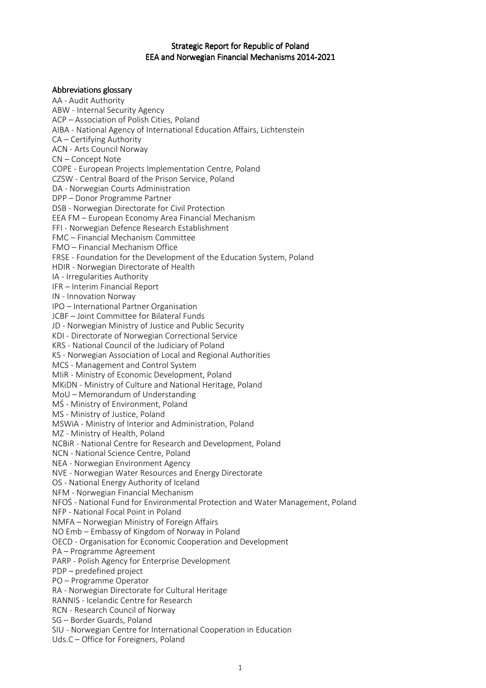### Strategic Report for Republic of Poland EEA and Norwegian Financial Mechanisms 2014-2021

#### Abbreviations glossary

AA - Audit Authority ABW - Internal Security Agency ACP – Association of Polish Cities, Poland AIBA - National Agency of International Education Affairs, Lichtenstein CA – Certifying Authority ACN - Arts Council Norway CN – Concept Note COPE - European Projects Implementation Centre, Poland CZSW - Central Board of the Prison Service, Poland DA - Norwegian Courts Administration DPP – Donor Programme Partner DSB - Norwegian Directorate for Civil Protection EEA FM – European Economy Area Financial Mechanism FFI - Norwegian Defence Research Establishment FMC – Financial Mechanism Committee FMO – Financial Mechanism Office FRSE - Foundation for the Development of the Education System, Poland HDIR - Norwegian Directorate of Health IA - Irregularities Authority IFR – Interim Financial Report IN - Innovation Norway IPO – International Partner Organisation JCBF – Joint Committee for Bilateral Funds JD - Norwegian Ministry of Justice and Public Security KDI - Directorate of Norwegian Correctional Service KRS - National Council of the Judiciary of Poland KS - Norwegian Association of Local and Regional Authorities MCS - Management and Control System MIiR - Ministry of Economic Development, Poland MKiDN - Ministry of Culture and National Heritage, Poland MoU – Memorandum of Understanding MŚ - Ministry of Environment, Poland MS - Ministry of Justice, Poland MSWiA - Ministry of Interior and Administration, Poland MZ - Ministry of Health, Poland NCBiR - National Centre for Research and Development, Poland NCN - National Science Centre, Poland NEA - Norwegian Environment Agency NVE - Norwegian Water Resources and Energy Directorate OS - National Energy Authority of Iceland NFM - Norwegian Financial Mechanism NFOŚ - National Fund for Environmental Protection and Water Management, Poland NFP - National Focal Point in Poland NMFA – Norwegian Ministry of Foreign Affairs NO Emb – Embassy of Kingdom of Norway in Poland OECD - Organisation for Economic Cooperation and Development PA – Programme Agreement PARP - Polish Agency for Enterprise Development PDP – predefined project PO – Programme Operator RA - Norwegian Directorate for Cultural Heritage RANNIS - Icelandic Centre for Research RCN - Research Council of Norway SG – Border Guards, Poland SIU - Norwegian Centre for International Cooperation in Education Uds.C – Office for Foreigners, Poland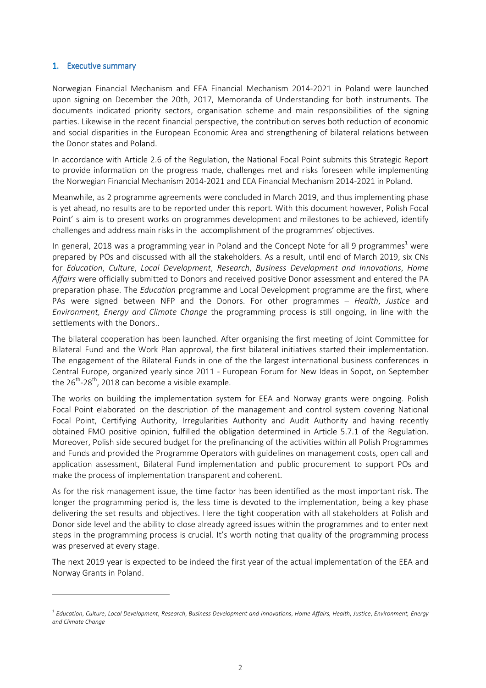#### 1. Executive summary

 $\overline{a}$ 

Norwegian Financial Mechanism and EEA Financial Mechanism 2014-2021 in Poland were launched upon signing on December the 20th, 2017, Memoranda of Understanding for both instruments. The documents indicated priority sectors, organisation scheme and main responsibilities of the signing parties. Likewise in the recent financial perspective, the contribution serves both reduction of economic and social disparities in the European Economic Area and strengthening of bilateral relations between the Donor states and Poland.

In accordance with Article 2.6 of the Regulation, the National Focal Point submits this Strategic Report to provide information on the progress made, challenges met and risks foreseen while implementing the Norwegian Financial Mechanism 2014-2021 and EEA Financial Mechanism 2014-2021 in Poland.

Meanwhile, as 2 programme agreements were concluded in March 2019, and thus implementing phase is yet ahead, no results are to be reported under this report. With this document however, Polish Focal Point' s aim is to present works on programmes development and milestones to be achieved, identify challenges and address main risks in the accomplishment of the programmes' objectives.

In general, 2018 was a programming year in Poland and the Concept Note for all 9 programmes<sup>1</sup> were prepared by POs and discussed with all the stakeholders. As a result, until end of March 2019, six CNs for *Education*, *Culture*, *Local Development*, *Research*, *Business Development and Innovations*, *Home Affairs* were officially submitted to Donors and received positive Donor assessment and entered the PA preparation phase. The *Education* programme and Local Development programme are the first, where PAs were signed between NFP and the Donors. For other programmes – *Health*, *Justice* and *Environment, Energy and Climate Change* the programming process is still ongoing, in line with the settlements with the Donors..

The bilateral cooperation has been launched. After organising the first meeting of Joint Committee for Bilateral Fund and the Work Plan approval, the first bilateral initiatives started their implementation. The engagement of the Bilateral Funds in one of the the largest international business conferences in Central Europe, organized yearly since 2011 - European Forum for New Ideas in Sopot, on September the  $26^{th}$ -28<sup>th</sup>, 2018 can become a visible example.

The works on building the implementation system for EEA and Norway grants were ongoing. Polish Focal Point elaborated on the description of the management and control system covering National Focal Point, Certifying Authority, Irregularities Authority and Audit Authority and having recently obtained FMO positive opinion, fulfilled the obligation determined in Article 5.7.1 of the Regulation. Moreover, Polish side secured budget for the prefinancing of the activities within all Polish Programmes and Funds and provided the Programme Operators with guidelines on management costs, open call and application assessment, Bilateral Fund implementation and public procurement to support POs and make the process of implementation transparent and coherent.

As for the risk management issue, the time factor has been identified as the most important risk. The longer the programming period is, the less time is devoted to the implementation, being a key phase delivering the set results and objectives. Here the tight cooperation with all stakeholders at Polish and Donor side level and the ability to close already agreed issues within the programmes and to enter next steps in the programming process is crucial. It's worth noting that quality of the programming process was preserved at every stage.

The next 2019 year is expected to be indeed the first year of the actual implementation of the EEA and Norway Grants in Poland.

<sup>1</sup> *Education*, *Culture*, *Local Development*, *Research*, *Business Development and Innovations*, *Home Affairs, Health*, *Justice*, *Environment, Energy and Climate Change*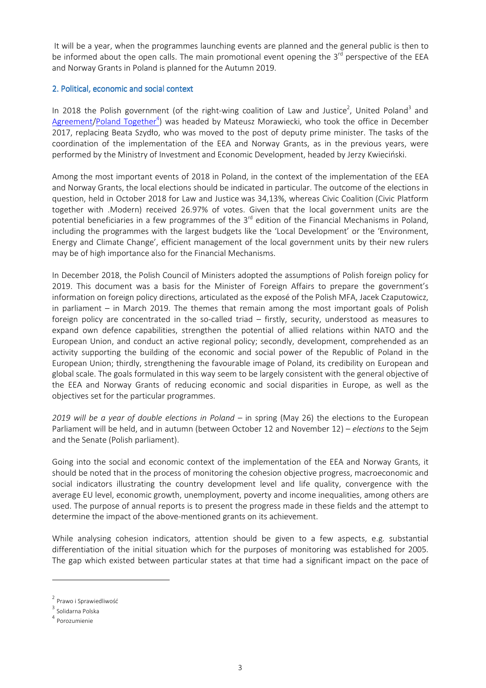It will be a year, when the programmes launching events are planned and the general public is then to be informed about the open calls. The main promotional event opening the 3<sup>rd</sup> perspective of the EEA and Norway Grants in Poland is planned for the Autumn 2019.

### 2. Political, economic and social context

In 2018 the Polish government (of the right-wing coalition of Law and Justice<sup>2</sup>, United Poland<sup>3</sup> and Agreement/Poland Together<sup>4</sup>) was headed by Mateusz Morawiecki, who took the office in December 2017, replacing Beata Szydło, who was moved to the post of deputy prime minister. The tasks of the coordination of the implementation of the EEA and Norway Grants, as in the previous years, were performed by the Ministry of Investment and Economic Development, headed by Jerzy Kwieciński.

Among the most important events of 2018 in Poland, in the context of the implementation of the EEA and Norway Grants, the local elections should be indicated in particular. The outcome of the elections in question, held in October 2018 for Law and Justice was 34,13%, whereas Civic Coalition (Civic Platform together with .Modern) received 26.97% of votes. Given that the local government units are the potential beneficiaries in a few programmes of the 3<sup>rd</sup> edition of the Financial Mechanisms in Poland, including the programmes with the largest budgets like the 'Local Development' or the 'Environment, Energy and Climate Change', efficient management of the local government units by their new rulers may be of high importance also for the Financial Mechanisms.

In December 2018, the Polish Council of Ministers adopted the assumptions of Polish foreign policy for 2019. This document was a basis for the Minister of Foreign Affairs to prepare the government's information on foreign policy directions, articulated as the exposé of the Polish MFA, Jacek Czaputowicz, in parliament – in March 2019. The themes that remain among the most important goals of Polish foreign policy are concentrated in the so-called triad – firstly, security, understood as measures to expand own defence capabilities, strengthen the potential of allied relations within NATO and the European Union, and conduct an active regional policy; secondly, development, comprehended as an activity supporting the building of the economic and social power of the Republic of Poland in the European Union; thirdly, strengthening the favourable image of Poland, its credibility on European and global scale. The goals formulated in this way seem to be largely consistent with the general objective of the EEA and Norway Grants of reducing economic and social disparities in Europe, as well as the objectives set for the particular programmes.

*2019 will be a year of double elections in Poland –* in spring (May 26) the elections to the European Parliament will be held, and in autumn (between October 12 and November 12) *– elections* to the Sejm and the Senate (Polish parliament).

Going into the social and economic context of the implementation of the EEA and Norway Grants, it should be noted that in the process of monitoring the cohesion objective progress, macroeconomic and social indicators illustrating the country development level and life quality, convergence with the average EU level, economic growth, unemployment, poverty and income inequalities, among others are used. The purpose of annual reports is to present the progress made in these fields and the attempt to determine the impact of the above-mentioned grants on its achievement.

While analysing cohesion indicators, attention should be given to a few aspects, e.g. substantial differentiation of the initial situation which for the purposes of monitoring was established for 2005. The gap which existed between particular states at that time had a significant impact on the pace of

ı

<sup>&</sup>lt;sup>2</sup> Prawo i Sprawiedliwość

<sup>&</sup>lt;sup>3</sup> Solidarna Polska

<sup>4</sup> Porozumienie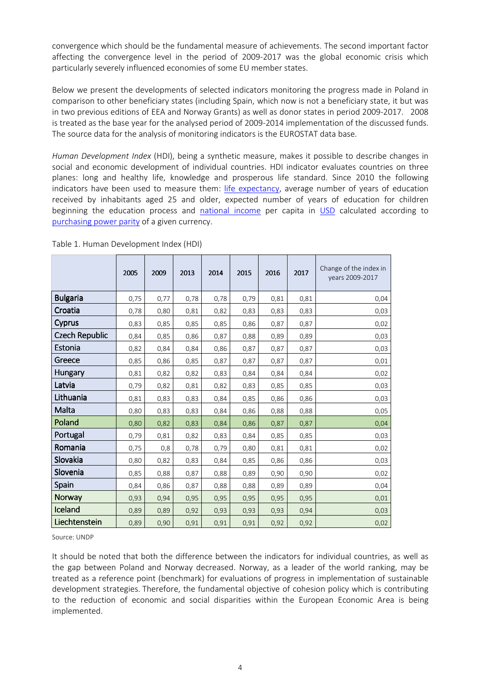convergence which should be the fundamental measure of achievements. The second important factor affecting the convergence level in the period of 2009-2017 was the global economic crisis which particularly severely influenced economies of some EU member states.

Below we present the developments of selected indicators monitoring the progress made in Poland in comparison to other beneficiary states (including Spain, which now is not a beneficiary state, it but was in two previous editions of EEA and Norway Grants) as well as donor states in period 2009-2017. 2008 is treated as the base year for the analysed period of 2009-2014 implementation of the discussed funds. The source data for the analysis of monitoring indicators is the EUROSTAT data base.

*Human Development Index* (HDI), being a synthetic measure, makes it possible to describe changes in social and economic development of individual countries. HDI indicator evaluates countries on three planes: long and healthy life, knowledge and prosperous life standard. Since 2010 the following indicators have been used to measure them: life expectancy, average number of years of education received by inhabitants aged 25 and older, expected number of years of education for children beginning the education process and national income per capita in USD calculated according to purchasing power parity of a given currency.

|                       | 2005 | 2009 | 2013 | 2014 | 2015 | 2016 | 2017 | Change of the index in<br>years 2009-2017 |
|-----------------------|------|------|------|------|------|------|------|-------------------------------------------|
| <b>Bulgaria</b>       | 0,75 | 0,77 | 0,78 | 0,78 | 0,79 | 0,81 | 0,81 | 0,04                                      |
| Croatia               | 0,78 | 0,80 | 0,81 | 0,82 | 0,83 | 0,83 | 0,83 | 0,03                                      |
| <b>Cyprus</b>         | 0,83 | 0,85 | 0,85 | 0,85 | 0,86 | 0,87 | 0,87 | 0,02                                      |
| <b>Czech Republic</b> | 0,84 | 0,85 | 0,86 | 0,87 | 0,88 | 0,89 | 0,89 | 0,03                                      |
| Estonia               | 0,82 | 0,84 | 0,84 | 0,86 | 0,87 | 0,87 | 0,87 | 0,03                                      |
| Greece                | 0,85 | 0,86 | 0,85 | 0,87 | 0,87 | 0,87 | 0,87 | 0,01                                      |
| <b>Hungary</b>        | 0,81 | 0,82 | 0,82 | 0,83 | 0,84 | 0,84 | 0,84 | 0,02                                      |
| Latvia                | 0,79 | 0,82 | 0,81 | 0,82 | 0,83 | 0,85 | 0,85 | 0,03                                      |
| Lithuania             | 0,81 | 0,83 | 0,83 | 0,84 | 0,85 | 0,86 | 0,86 | 0,03                                      |
| Malta                 | 0,80 | 0,83 | 0,83 | 0,84 | 0,86 | 0,88 | 0,88 | 0,05                                      |
| Poland                | 0,80 | 0,82 | 0,83 | 0,84 | 0,86 | 0,87 | 0,87 | 0,04                                      |
| Portugal              | 0,79 | 0,81 | 0,82 | 0,83 | 0,84 | 0,85 | 0,85 | 0,03                                      |
| Romania               | 0,75 | 0,8  | 0,78 | 0,79 | 0,80 | 0,81 | 0,81 | 0,02                                      |
| Slovakia              | 0,80 | 0,82 | 0,83 | 0,84 | 0,85 | 0,86 | 0,86 | 0,03                                      |
| Slovenia              | 0,85 | 0,88 | 0,87 | 0,88 | 0,89 | 0,90 | 0,90 | 0,02                                      |
| Spain                 | 0,84 | 0,86 | 0,87 | 0,88 | 0,88 | 0,89 | 0,89 | 0,04                                      |
| <b>Norway</b>         | 0,93 | 0,94 | 0,95 | 0,95 | 0,95 | 0,95 | 0,95 | 0,01                                      |
| Iceland               | 0,89 | 0,89 | 0,92 | 0,93 | 0,93 | 0,93 | 0,94 | 0,03                                      |
| Liechtenstein         | 0,89 | 0,90 | 0,91 | 0,91 | 0,91 | 0,92 | 0,92 | 0,02                                      |

Table 1. Human Development Index (HDI)

Source: UNDP

It should be noted that both the difference between the indicators for individual countries, as well as the gap between Poland and Norway decreased. Norway, as a leader of the world ranking, may be treated as a reference point (benchmark) for evaluations of progress in implementation of sustainable development strategies. Therefore, the fundamental objective of cohesion policy which is contributing to the reduction of economic and social disparities within the European Economic Area is being implemented.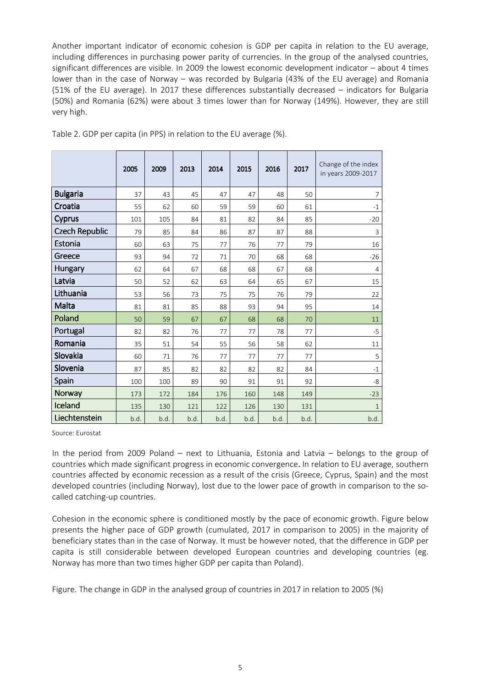Another important indicator of economic cohesion is GDP per capita in relation to the EU average, including differences in purchasing power parity of currencies. In the group of the analysed countries, significant differences are visible. In 2009 the lowest economic development indicator – about 4 times lower than in the case of Norway – was recorded by Bulgaria (43% of the EU average) and Romania (51% of the EU average). In 2017 these differences substantially decreased – indicators for Bulgaria (50%) and Romania (62%) were about 3 times lower than for Norway (149%). However, they are still very high.

|                       | 2005 | 2009 | 2013 | 2014 | 2015 | 2016 | 2017 | Change of the index<br>in years 2009-2017 |
|-----------------------|------|------|------|------|------|------|------|-------------------------------------------|
| <b>Bulgaria</b>       | 37   | 43   | 45   | 47   | 47   | 48   | 50   | 7                                         |
| Croatia               | 55   | 62   | 60   | 59   | 59   | 60   | 61   | $-1$                                      |
| <b>Cyprus</b>         | 101  | 105  | 84   | 81   | 82   | 84   | 85   | $-20$                                     |
| <b>Czech Republic</b> | 79   | 85   | 84   | 86   | 87   | 87   | 88   | 3                                         |
| Estonia               | 60   | 63   | 75   | 77   | 76   | 77   | 79   | 16                                        |
| Greece                | 93   | 94   | 72   | 71   | 70   | 68   | 68   | $-26$                                     |
| Hungary               | 62   | 64   | 67   | 68   | 68   | 67   | 68   | $\overline{4}$                            |
| Latvia                | 50   | 52   | 62   | 63   | 64   | 65   | 67   | 15                                        |
| Lithuania             | 53   | 56   | 73   | 75   | 75   | 76   | 79   | 22                                        |
| Malta                 | 81   | 81   | 85   | 88   | 93   | 94   | 95   | 14                                        |
| Poland                | 50   | 59   | 67   | 67   | 68   | 68   | 70   | 11                                        |
| Portugal              | 82   | 82   | 76   | 77   | 77   | 78   | 77   | $-5$                                      |
| Romania               | 35   | 51   | 54   | 55   | 56   | 58   | 62   | 11                                        |
| Slovakia              | 60   | 71   | 76   | 77   | 77   | 77   | 77   | 5                                         |
| Slovenia              | 87   | 85   | 82   | 82   | 82   | 82   | 84   | $-1$                                      |
| Spain                 | 100  | 100  | 89   | 90   | 91   | 91   | 92   | -8                                        |
| Norway                | 173  | 172  | 184  | 176  | 160  | 148  | 149  | $-23$                                     |
| Iceland               | 135  | 130  | 121  | 122  | 126  | 130  | 131  | $\mathbf{1}$                              |
| Liechtenstein         | b.d. | b.d. | b.d. | b.d. | b.d. | b.d. | b.d. | b.d.                                      |

Table 2. GDP per capita (in PPS) in relation to the EU average (%).

Source: Eurostat

In the period from 2009 Poland – next to Lithuania, Estonia and Latvia – belongs to the group of countries which made significant progress in economic convergence. In relation to EU average, southern countries affected by economic recession as a result of the crisis (Greece, Cyprus, Spain) and the most developed countries (including Norway), lost due to the lower pace of growth in comparison to the socalled catching-up countries.

Cohesion in the economic sphere is conditioned mostly by the pace of economic growth. Figure below presents the higher pace of GDP growth (cumulated, 2017 in comparison to 2005) in the majority of beneficiary states than in the case of Norway. It must be however noted, that the difference in GDP per capita is still considerable between developed European countries and developing countries (eg. Norway has more than two times higher GDP per capita than Poland).

Figure. The change in GDP in the analysed group of countries in 2017 in relation to 2005 (%)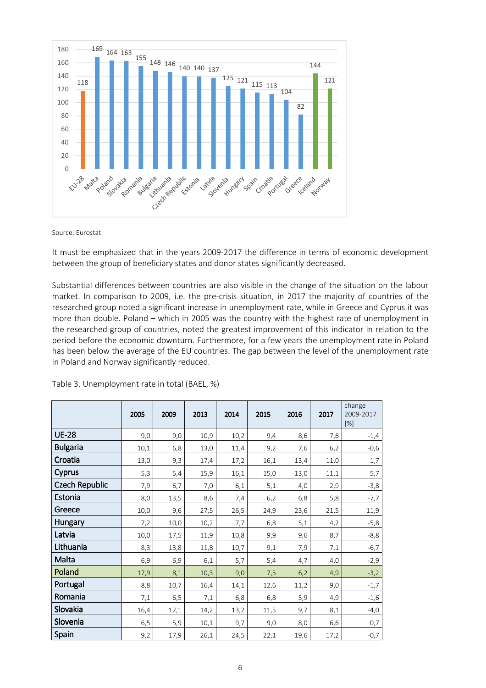

Source: Eurostat

It must be emphasized that in the years 2009-2017 the difference in terms of economic development between the group of beneficiary states and donor states significantly decreased.

Substantial differences between countries are also visible in the change of the situation on the labour market. In comparison to 2009, i.e. the pre-crisis situation, in 2017 the majority of countries of the researched group noted a significant increase in unemployment rate, while in Greece and Cyprus it was more than double. Poland – which in 2005 was the country with the highest rate of unemployment in the researched group of countries, noted the greatest improvement of this indicator in relation to the period before the economic downturn. Furthermore, for a few years the unemployment rate in Poland has been below the average of the EU countries. The gap between the level of the unemployment rate in Poland and Norway significantly reduced.

|                       | 2005 | 2009 | 2013 | 2014 | 2015 | 2016 | 2017 | change<br>2009-2017<br>[%] |
|-----------------------|------|------|------|------|------|------|------|----------------------------|
| <b>UE-28</b>          | 9,0  | 9,0  | 10,9 | 10,2 | 9,4  | 8,6  | 7,6  | $-1,4$                     |
| <b>Bulgaria</b>       | 10,1 | 6,8  | 13,0 | 11,4 | 9,2  | 7,6  | 6,2  | $-0,6$                     |
| Croatia               | 13,0 | 9,3  | 17,4 | 17,2 | 16,1 | 13,4 | 11,0 | 1,7                        |
| Cyprus                | 5,3  | 5,4  | 15,9 | 16,1 | 15,0 | 13,0 | 11,1 | 5,7                        |
| <b>Czech Republic</b> | 7,9  | 6,7  | 7,0  | 6,1  | 5,1  | 4,0  | 2,9  | $-3,8$                     |
| Estonia               | 8,0  | 13,5 | 8,6  | 7,4  | 6,2  | 6,8  | 5,8  | $-7,7$                     |
| Greece                | 10,0 | 9,6  | 27,5 | 26,5 | 24,9 | 23,6 | 21,5 | 11,9                       |
| Hungary               | 7,2  | 10,0 | 10,2 | 7,7  | 6,8  | 5,1  | 4,2  | $-5,8$                     |
| Latvia                | 10,0 | 17,5 | 11,9 | 10,8 | 9,9  | 9,6  | 8,7  | $-8,8$                     |
| Lithuania             | 8,3  | 13,8 | 11,8 | 10,7 | 9,1  | 7,9  | 7,1  | $-6,7$                     |
| Malta                 | 6,9  | 6,9  | 6,1  | 5,7  | 5,4  | 4,7  | 4,0  | $-2,9$                     |
| Poland                | 17,9 | 8,1  | 10,3 | 9,0  | 7,5  | 6,2  | 4,9  | $-3,2$                     |
| Portugal              | 8,8  | 10,7 | 16,4 | 14,1 | 12,6 | 11,2 | 9,0  | $-1,7$                     |
| Romania               | 7,1  | 6, 5 | 7,1  | 6,8  | 6,8  | 5,9  | 4,9  | $-1,6$                     |
| Slovakia              | 16,4 | 12,1 | 14,2 | 13,2 | 11,5 | 9,7  | 8,1  | -4,0                       |
| Slovenia              | 6,5  | 5,9  | 10,1 | 9,7  | 9,0  | 8,0  | 6,6  | 0,7                        |
| Spain                 | 9,2  | 17,9 | 26,1 | 24,5 | 22,1 | 19,6 | 17,2 | $-0,7$                     |

Table 3. Unemployment rate in total (BAEL, %)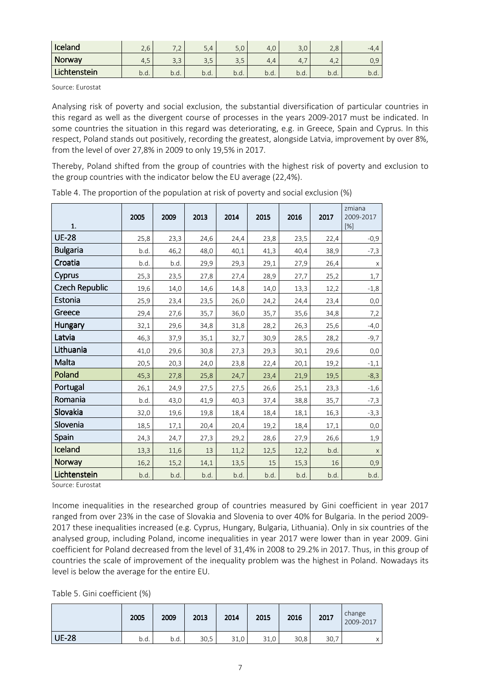| <b>Iceland</b> | $\overline{\phantom{0}}$<br>$\overline{ }$<br>Z.U | $\overline{\phantom{a}}$        | $\overline{\phantom{a}}$ | 50<br>J,U              | 4.6  | $\overline{\phantom{0}}$<br>J.U | $\overline{\phantom{0}}$<br>$\Omega$<br>Z.O | $-4.4$     |
|----------------|---------------------------------------------------|---------------------------------|--------------------------|------------------------|------|---------------------------------|---------------------------------------------|------------|
| Norway         | 4.5                                               | $\sim$<br>$\rightarrow$<br>ں, ں | ر.ر                      | $\cap$ $\Gamma$<br>ں,ر | ᅭ    | 4.                              | $\sim$<br>4,2                               | ם ר<br>∪.⊃ |
| Lichtenstein   | b.d.                                              | b.d.                            | b.d.                     | b.d.                   | b.d. | b.d.                            | b.d.                                        | p.a.       |

Source: Eurostat

Analysing risk of poverty and social exclusion, the substantial diversification of particular countries in this regard as well as the divergent course of processes in the years 2009-2017 must be indicated. In some countries the situation in this regard was deteriorating, e.g. in Greece, Spain and Cyprus. In this respect, Poland stands out positively, recording the greatest, alongside Latvia, improvement by over 8%, from the level of over 27,8% in 2009 to only 19,5% in 2017.

Thereby, Poland shifted from the group of countries with the highest risk of poverty and exclusion to the group countries with the indicator below the EU average (22,4%).

| 1.                    | 2005 | 2009 | 2013 | 2014 | 2015 | 2016 | 2017 | zmiana<br>2009-2017<br>[%] |
|-----------------------|------|------|------|------|------|------|------|----------------------------|
| <b>UE-28</b>          | 25,8 | 23,3 | 24,6 | 24,4 | 23,8 | 23,5 | 22,4 | $-0,9$                     |
| <b>Bulgaria</b>       | b.d. | 46,2 | 48,0 | 40,1 | 41,3 | 40,4 | 38,9 | $-7,3$                     |
| Croatia               | b.d. | b.d. | 29,9 | 29,3 | 29,1 | 27,9 | 26,4 | X                          |
| <b>Cyprus</b>         | 25,3 | 23,5 | 27,8 | 27,4 | 28,9 | 27,7 | 25,2 | 1,7                        |
| <b>Czech Republic</b> | 19,6 | 14,0 | 14,6 | 14,8 | 14,0 | 13,3 | 12,2 | $-1,8$                     |
| Estonia               | 25,9 | 23,4 | 23,5 | 26,0 | 24,2 | 24,4 | 23,4 | 0,0                        |
| Greece                | 29,4 | 27,6 | 35,7 | 36,0 | 35,7 | 35,6 | 34,8 | 7,2                        |
| Hungary               | 32,1 | 29,6 | 34,8 | 31,8 | 28,2 | 26,3 | 25,6 | $-4,0$                     |
| Latvia                | 46,3 | 37,9 | 35,1 | 32,7 | 30,9 | 28,5 | 28,2 | $-9,7$                     |
| Lithuania             | 41,0 | 29,6 | 30,8 | 27,3 | 29,3 | 30,1 | 29,6 | 0,0                        |
| Malta                 | 20,5 | 20,3 | 24,0 | 23,8 | 22,4 | 20,1 | 19,2 | $-1,1$                     |
| Poland                | 45,3 | 27,8 | 25,8 | 24,7 | 23,4 | 21,9 | 19,5 | $-8,3$                     |
| Portugal              | 26,1 | 24,9 | 27,5 | 27,5 | 26,6 | 25,1 | 23,3 | $-1,6$                     |
| Romania               | b.d. | 43,0 | 41,9 | 40,3 | 37,4 | 38,8 | 35,7 | $-7,3$                     |
| Slovakia              | 32,0 | 19,6 | 19,8 | 18,4 | 18,4 | 18,1 | 16,3 | $-3,3$                     |
| Slovenia              | 18,5 | 17,1 | 20,4 | 20,4 | 19,2 | 18,4 | 17,1 | 0,0                        |
| Spain                 | 24,3 | 24,7 | 27,3 | 29,2 | 28,6 | 27,9 | 26,6 | 1,9                        |
| Iceland               | 13,3 | 11,6 | 13   | 11,2 | 12,5 | 12,2 | b.d. | $\mathsf X$                |
| Norway                | 16,2 | 15,2 | 14,1 | 13,5 | 15   | 15,3 | 16   | 0,9                        |
| Lichtenstein          | b.d. | b.d. | b.d. | b.d. | b.d. | b.d. | b.d. | b.d.                       |

Table 4. The proportion of the population at risk of poverty and social exclusion (%)

Source: Eurostat

Income inequalities in the researched group of countries measured by Gini coefficient in year 2017 ranged from over 23% in the case of Slovakia and Slovenia to over 40% for Bulgaria. In the period 2009- 2017 these inequalities increased (e.g. Cyprus, Hungary, Bulgaria, Lithuania). Only in six countries of the analysed group, including Poland, income inequalities in year 2017 were lower than in year 2009. Gini coefficient for Poland decreased from the level of 31,4% in 2008 to 29.2% in 2017. Thus, in this group of countries the scale of improvement of the inequality problem was the highest in Poland. Nowadays its level is below the average for the entire EU.

Table 5. Gini coefficient (%)

|              | 2005 | 2009 | 2013 | 2014 | 2015 | 2016 | 2017 | change<br>2009-2017 |
|--------------|------|------|------|------|------|------|------|---------------------|
| <b>UE-28</b> | b.d. | b.d. | 30,5 | 31,0 | 31,0 | 30,8 | 30,7 |                     |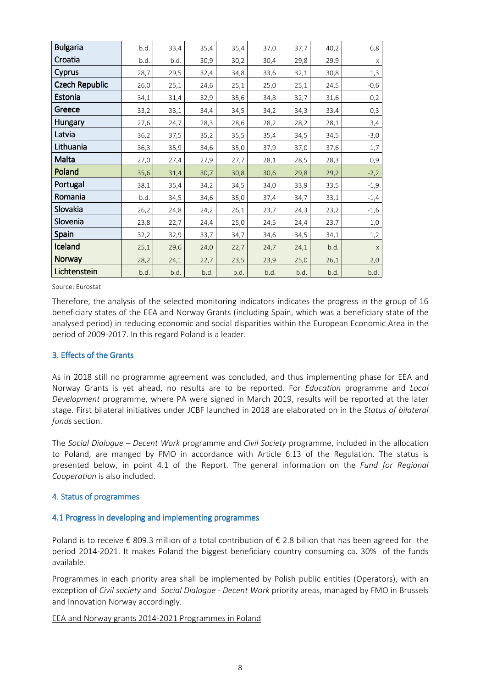| <b>Bulgaria</b>       | b.d. | 33,4 | 35,4 | 35,4 | 37,0 | 37,7 | 40,2 | 6,8         |
|-----------------------|------|------|------|------|------|------|------|-------------|
| Croatia               | b.d. | b.d. | 30,9 | 30,2 | 30,4 | 29,8 | 29,9 | $\mathsf X$ |
| Cyprus                | 28,7 | 29,5 | 32,4 | 34,8 | 33,6 | 32,1 | 30,8 | 1,3         |
| <b>Czech Republic</b> | 26,0 | 25,1 | 24,6 | 25,1 | 25,0 | 25,1 | 24,5 | $-0,6$      |
| Estonia               | 34,1 | 31,4 | 32,9 | 35,6 | 34,8 | 32,7 | 31,6 | 0,2         |
| Greece                | 33,2 | 33,1 | 34,4 | 34,5 | 34,2 | 34,3 | 33,4 | 0,3         |
| Hungary               | 27,6 | 24,7 | 28,3 | 28,6 | 28,2 | 28,2 | 28,1 | 3,4         |
| Latvia                | 36,2 | 37,5 | 35,2 | 35,5 | 35,4 | 34,5 | 34,5 | $-3,0$      |
| Lithuania             | 36,3 | 35,9 | 34,6 | 35,0 | 37,9 | 37,0 | 37,6 | 1,7         |
| Malta                 | 27,0 | 27,4 | 27,9 | 27,7 | 28,1 | 28,5 | 28,3 | 0,9         |
| Poland                | 35,6 | 31,4 | 30,7 | 30,8 | 30,6 | 29,8 | 29,2 | $-2,2$      |
| Portugal              | 38,1 | 35,4 | 34,2 | 34,5 | 34,0 | 33,9 | 33,5 | $-1,9$      |
| Romania               | b.d. | 34,5 | 34,6 | 35,0 | 37,4 | 34,7 | 33,1 | $-1,4$      |
| Slovakia              | 26,2 | 24,8 | 24,2 | 26,1 | 23,7 | 24,3 | 23,2 | $-1,6$      |
| Slovenia              | 23,8 | 22,7 | 24,4 | 25,0 | 24,5 | 24,4 | 23,7 | $1,0$       |
| Spain                 | 32,2 | 32,9 | 33,7 | 34,7 | 34,6 | 34,5 | 34,1 | 1,2         |
| Iceland               | 25,1 | 29,6 | 24,0 | 22,7 | 24,7 | 24,1 | b.d. | $\mathsf X$ |
| <b>Norway</b>         | 28,2 | 24,1 | 22,7 | 23,5 | 23,9 | 25,0 | 26,1 | 2,0         |
| Lichtenstein          | b.d. | b.d. | b.d. | b.d. | b.d. | b.d. | b.d. | b.d.        |

Source: Eurostat

Therefore, the analysis of the selected monitoring indicators indicates the progress in the group of 16 beneficiary states of the EEA and Norway Grants (including Spain, which was a beneficiary state of the analysed period) in reducing economic and social disparities within the European Economic Area in the period of 2009-2017. In this regard Poland is a leader.

### 3. Effects of the Grants

As in 2018 still no programme agreement was concluded, and thus implementing phase for EEA and Norway Grants is yet ahead, no results are to be reported. For *Education* programme and *Local Development* programme, where PA were signed in March 2019, results will be reported at the later stage. First bilateral initiatives under JCBF launched in 2018 are elaborated on in the *Status of bilateral funds* section.

The *Social Dialogue – Decent Work* programme and *Civil Society* programme, included in the allocation to Poland, are manged by FMO in accordance with Article 6.13 of the Regulation. The status is presented below, in point 4.1 of the Report. The general information on the *Fund for Regional Cooperation* is also included.

### 4. Status of programmes

### 4.1 Progress in developing and implementing programmes

Poland is to receive € 809.3 million of a total contribution of € 2.8 billion that has been agreed for the period 2014-2021. It makes Poland the biggest beneficiary country consuming ca. 30% of the funds available.

Programmes in each priority area shall be implemented by Polish public entities (Operators), with an exception of *Civil society* and *Social Dialogue - Decent Work* priority areas, managed by FMO in Brussels and Innovation Norway accordingly.

#### EEA and Norway grants 2014-2021 Programmes in Poland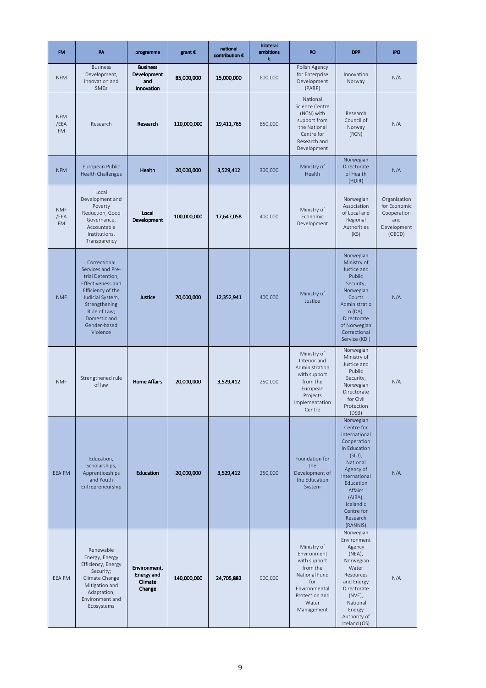| <b>FM</b>                       | PA                                                                                                                                                                                                      | programme                                              | grant $\epsilon$ | national<br>contribution € | bilateral<br>ambitions<br>€ | PO                                                                                                                                       | <b>DPP</b>                                                                                                                                                                                                           | <b>IPO</b>                                                                  |
|---------------------------------|---------------------------------------------------------------------------------------------------------------------------------------------------------------------------------------------------------|--------------------------------------------------------|------------------|----------------------------|-----------------------------|------------------------------------------------------------------------------------------------------------------------------------------|----------------------------------------------------------------------------------------------------------------------------------------------------------------------------------------------------------------------|-----------------------------------------------------------------------------|
| <b>NFM</b>                      | <b>Business</b><br>Development,<br>Innovation and<br>SMEs                                                                                                                                               | <b>Business</b><br>Development<br>and<br>Innovation    | 85,000,000       | 15,000,000                 | 600,000                     | Polish Agency<br>for Enterprise<br>Development<br>(PARP)                                                                                 | Innovation<br>Norway                                                                                                                                                                                                 | N/A                                                                         |
| <b>NFM</b><br>/EEA<br><b>FM</b> | Research                                                                                                                                                                                                | Research                                               | 110,000,000      | 19,411,765                 | 650,000                     | National<br>Science Centre<br>(NCN) with<br>support from<br>the National<br>Centre for<br>Research and<br>Development                    | Research<br>Council of<br>Norway<br>(RCN)                                                                                                                                                                            | N/A                                                                         |
| <b>NFM</b>                      | European Public<br><b>Health Challenges</b>                                                                                                                                                             | Health                                                 | 20,000,000       | 3,529,412                  | 300,000                     | Ministry of<br>Health                                                                                                                    | Norwegian<br>Directorate<br>of Health<br>(HDIR)                                                                                                                                                                      | N/A                                                                         |
| <b>NMF</b><br>/EEA<br><b>FM</b> | Local<br>Development and<br>Poverty<br>Reduction, Good<br>Governance,<br>Accountable<br>Institutions,<br>Transparency                                                                                   | Local<br>Development                                   | 100,000,000      | 17,647,058                 | 400,000                     | Ministry of<br>Economic<br>Development                                                                                                   | Norwegian<br>Association<br>of Local and<br>Regional<br>Authorities<br>(KS)                                                                                                                                          | Organisation<br>for Economic<br>Cooperation<br>and<br>Development<br>(OECD) |
| <b>NMF</b>                      | Correctional<br>Services and Pre-<br>trial Detention;<br><b>Effectiveness and</b><br>Efficiency of the<br>Judicial System,<br>Strengthening<br>Rule of Law;<br>Domestic and<br>Gender-based<br>Violence | Justice                                                | 70,000,000       | 12,352,941                 | 400,000                     | Ministry of<br>Justice                                                                                                                   | Norwegian<br>Ministry of<br>Justice and<br>Public<br>Security,<br>Norwegian<br>Courts<br>Administratio<br>n (DA),<br>Directorate<br>of Norwegian<br>Correctional<br>Service (KDI)                                    | N/A                                                                         |
| <b>NMF</b>                      | Strengthened rule<br>of law                                                                                                                                                                             | <b>Home Affairs</b>                                    | 20,000,000       | 3,529,412                  | 250,000                     | Ministry of<br>Interior and<br>Administration<br>with support<br>from the<br>European<br>Projects<br>Implementation<br>Centre            | Norwegian<br>Ministry of<br>Justice and<br>Public<br>Security,<br>Norwegian<br>Directorate<br>for Civil<br>Protection<br>(DSB)                                                                                       | N/A                                                                         |
| EEA FM                          | Education,<br>Scholarships,<br>Apprenticeships<br>and Youth<br>Entrepreneurship                                                                                                                         | <b>Education</b>                                       | 20,000,000       | 3,529,412                  | 250,000                     | Foundation for<br>the<br>Development of<br>the Education<br>System                                                                       | Norwegian<br>Centre for<br>International<br>Cooperation<br>in Education<br>$(SIU)$ ,<br>National<br>Agency of<br>International<br>Education<br>Affairs<br>(AIBA),<br>Icelandic<br>Centre for<br>Research<br>(RANNIS) | N/A                                                                         |
| EEA FM                          | Renewable<br>Energy, Energy<br>Efficiency, Energy<br>Security;<br>Climate Change<br>Mitigation and<br>Adaptation;<br>Environment and<br>Ecosystems                                                      | Environment,<br><b>Energy and</b><br>Climate<br>Change | 140,000,000      | 24,705,882                 | 900,000                     | Ministry of<br>Environment<br>with support<br>from the<br>National Fund<br>for<br>Environmental<br>Protection and<br>Water<br>Management | Norwegian<br>Environment<br>Agency<br>$(NEA)$ ,<br>Norwegian<br>Water<br>Resources<br>and Energy<br>Directorate<br>(NVE),<br>National<br>Energy<br>Authority of<br>Iceland (OS)                                      | N/A                                                                         |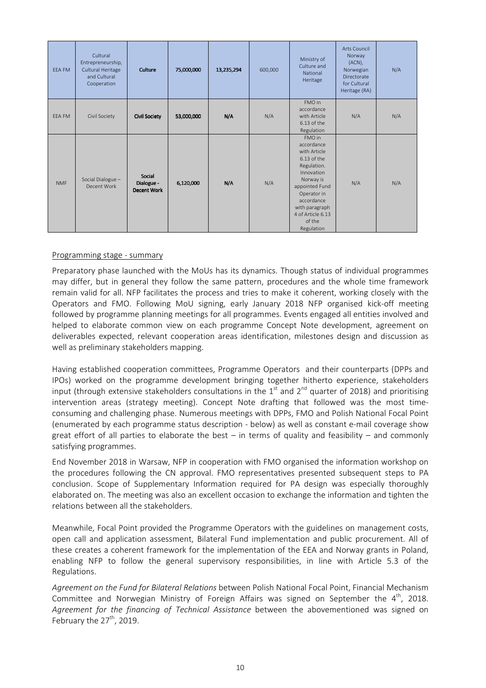| EEA FM        | Cultural<br>Entrepreneurship,<br>Cultural Heritage<br>and Cultural<br>Cooperation | Culture                             | 75,000,000 | 13,235,294 | 600,000 | Ministry of<br>Culture and<br>National<br>Heritage                                                                                                                                                            | <b>Arts Council</b><br>Norway<br>$(ACN)$ ,<br>Norwegian<br>Directorate<br>for Cultural<br>Heritage (RA) | N/A |
|---------------|-----------------------------------------------------------------------------------|-------------------------------------|------------|------------|---------|---------------------------------------------------------------------------------------------------------------------------------------------------------------------------------------------------------------|---------------------------------------------------------------------------------------------------------|-----|
| <b>EEA FM</b> | Civil Society                                                                     | <b>Civil Society</b>                | 53,000,000 | N/A        | N/A     | FMO in<br>accordance<br>with Article<br>$6.13$ of the<br>Regulation                                                                                                                                           | N/A                                                                                                     | N/A |
| <b>NMF</b>    | Social Dialogue -<br>Decent Work                                                  | Social<br>Dialogue -<br>Decent Work | 6,120,000  | N/A        | N/A     | FMO in<br>accordance<br>with Article<br>$6.13$ of the<br>Regulation.<br>Innovation<br>Norway is<br>appointed Fund<br>Operator in<br>accordance<br>with paragraph<br>4 of Article 6.13<br>of the<br>Regulation | N/A                                                                                                     | N/A |

## Programming stage - summary

Preparatory phase launched with the MoUs has its dynamics. Though status of individual programmes may differ, but in general they follow the same pattern, procedures and the whole time framework remain valid for all. NFP facilitates the process and tries to make it coherent, working closely with the Operators and FMO. Following MoU signing, early January 2018 NFP organised kick-off meeting followed by programme planning meetings for all programmes. Events engaged all entities involved and helped to elaborate common view on each programme Concept Note development, agreement on deliverables expected, relevant cooperation areas identification, milestones design and discussion as well as preliminary stakeholders mapping.

Having established cooperation committees, Programme Operators and their counterparts (DPPs and IPOs) worked on the programme development bringing together hitherto experience, stakeholders input (through extensive stakeholders consultations in the  $1<sup>st</sup>$  and  $2<sup>nd</sup>$  quarter of 2018) and prioritising intervention areas (strategy meeting). Concept Note drafting that followed was the most timeconsuming and challenging phase. Numerous meetings with DPPs, FMO and Polish National Focal Point (enumerated by each programme status description - below) as well as constant e-mail coverage show great effort of all parties to elaborate the best  $-$  in terms of quality and feasibility  $-$  and commonly satisfying programmes.

End November 2018 in Warsaw, NFP in cooperation with FMO organised the information workshop on the procedures following the CN approval. FMO representatives presented subsequent steps to PA conclusion. Scope of Supplementary Information required for PA design was especially thoroughly elaborated on. The meeting was also an excellent occasion to exchange the information and tighten the relations between all the stakeholders.

Meanwhile, Focal Point provided the Programme Operators with the guidelines on management costs, open call and application assessment, Bilateral Fund implementation and public procurement. All of these creates a coherent framework for the implementation of the EEA and Norway grants in Poland, enabling NFP to follow the general supervisory responsibilities, in line with Article 5.3 of the Regulations.

*Agreement on the Fund for Bilateral Relations* between Polish National Focal Point, Financial Mechanism Committee and Norwegian Ministry of Foreign Affairs was signed on September the  $4<sup>th</sup>$ , 2018. *Agreement for the financing of Technical Assistance* between the abovementioned was signed on February the  $27<sup>th</sup>$ , 2019.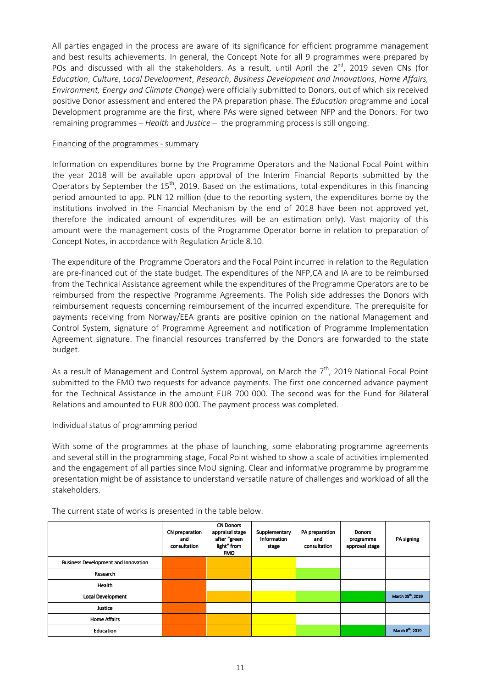All parties engaged in the process are aware of its significance for efficient programme management and best results achievements. In general, the Concept Note for all 9 programmes were prepared by POs and discussed with all the stakeholders. As a result, until April the  $2^{nd}$ , 2019 seven CNs (for *Education*, *Culture*, *Local Development*, *Research*, *Business Development and Innovations*, *Home Affairs, Environment, Energy and Climate Change*) were officially submitted to Donors, out of which six received positive Donor assessment and entered the PA preparation phase. The *Education* programme and Local Development programme are the first, where PAs were signed between NFP and the Donors. For two remaining programmes – *Health* and *Justice* – the programming process is still ongoing.

### Financing of the programmes - summary

Information on expenditures borne by the Programme Operators and the National Focal Point within the year 2018 will be available upon approval of the Interim Financial Reports submitted by the Operators by September the 15<sup>th</sup>, 2019. Based on the estimations, total expenditures in this financing period amounted to app. PLN 12 million (due to the reporting system, the expenditures borne by the institutions involved in the Financial Mechanism by the end of 2018 have been not approved yet, therefore the indicated amount of expenditures will be an estimation only). Vast majority of this amount were the management costs of the Programme Operator borne in relation to preparation of Concept Notes, in accordance with Regulation Article 8.10.

The expenditure of the Programme Operators and the Focal Point incurred in relation to the Regulation are pre-financed out of the state budget. The expenditures of the NFP,CA and IA are to be reimbursed from the Technical Assistance agreement while the expenditures of the Programme Operators are to be reimbursed from the respective Programme Agreements. The Polish side addresses the Donors with reimbursement requests concerning reimbursement of the incurred expenditure. The prerequisite for payments receiving from Norway/EEA grants are positive opinion on the national Management and Control System, signature of Programme Agreement and notification of Programme Implementation Agreement signature. The financial resources transferred by the Donors are forwarded to the state budget.

As a result of Management and Control System approval, on March the  $7<sup>th</sup>$ , 2019 National Focal Point submitted to the FMO two requests for advance payments. The first one concerned advance payment for the Technical Assistance in the amount EUR 700 000. The second was for the Fund for Bilateral Relations and amounted to EUR 800 000. The payment process was completed.

### Individual status of programming period

With some of the programmes at the phase of launching, some elaborating programme agreements and several still in the programming stage, Focal Point wished to show a scale of activities implemented and the engagement of all parties since MoU signing. Clear and informative programme by programme presentation might be of assistance to understand versatile nature of challenges and workload of all the stakeholders.

|                                            | CN preparation<br>and<br>consultation | <b>CN Donors</b><br>appraisal stage<br>after "green<br>light" from<br><b>FMO</b> | Supplementary<br>Information<br>stage | PA preparation<br>and<br>consultation | <b>Donors</b><br>programme<br>approval stage | PA signing                    |
|--------------------------------------------|---------------------------------------|----------------------------------------------------------------------------------|---------------------------------------|---------------------------------------|----------------------------------------------|-------------------------------|
| <b>Business Development and Innovation</b> |                                       |                                                                                  |                                       |                                       |                                              |                               |
| Research                                   |                                       |                                                                                  |                                       |                                       |                                              |                               |
| Health                                     |                                       |                                                                                  |                                       |                                       |                                              |                               |
| <b>Local Development</b>                   |                                       |                                                                                  |                                       |                                       |                                              | March 25 <sup>th</sup> , 2019 |
| Justice                                    |                                       |                                                                                  |                                       |                                       |                                              |                               |
| <b>Home Affairs</b>                        |                                       |                                                                                  |                                       |                                       |                                              |                               |
| Education                                  |                                       |                                                                                  |                                       |                                       |                                              | March 8 <sup>th</sup> , 2019  |

The current state of works is presented in the table below.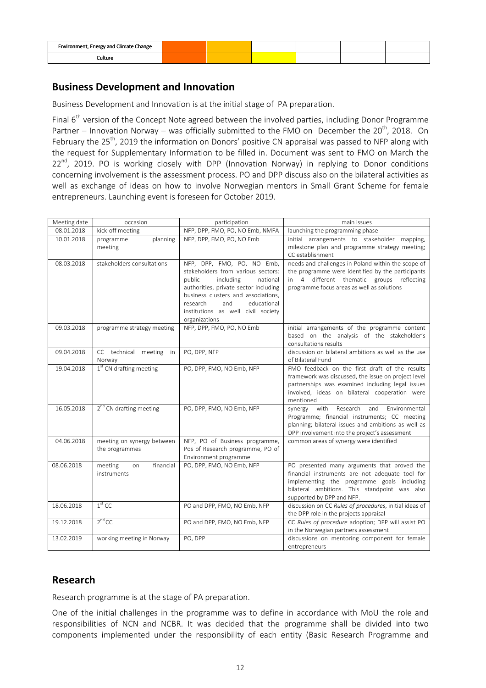| Environment, Energy and Climate Change |  |  |  |
|----------------------------------------|--|--|--|
| :ulture                                |  |  |  |

## **Business Development and Innovation**

Business Development and Innovation is at the initial stage of PA preparation.

Final  $6<sup>th</sup>$  version of the Concept Note agreed between the involved parties, including Donor Programme Partner – Innovation Norway – was officially submitted to the FMO on December the 20<sup>th</sup>, 2018. On February the 25<sup>th</sup>, 2019 the information on Donors' positive CN appraisal was passed to NFP along with the request for Supplementary Information to be filled in. Document was sent to FMO on March the 22<sup>nd</sup>, 2019. PO is working closely with DPP (Innovation Norway) in replying to Donor conditions concerning involvement is the assessment process. PO and DPP discuss also on the bilateral activities as well as exchange of ideas on how to involve Norwegian mentors in Small Grant Scheme for female entrepreneurs. Launching event is foreseen for October 2019.

| Meeting date | occasion                                     | participation                                                                                                                                                                                                                                                                | main issues                                                                                                                                                                                                                |
|--------------|----------------------------------------------|------------------------------------------------------------------------------------------------------------------------------------------------------------------------------------------------------------------------------------------------------------------------------|----------------------------------------------------------------------------------------------------------------------------------------------------------------------------------------------------------------------------|
| 08.01.2018   | kick-off meeting                             | NFP, DPP, FMO, PO, NO Emb, NMFA                                                                                                                                                                                                                                              | launching the programming phase                                                                                                                                                                                            |
| 10.01.2018   | planning<br>programme<br>meeting             | NFP, DPP, FMO, PO, NO Emb                                                                                                                                                                                                                                                    | initial arrangements to stakeholder mapping,<br>milestone plan and programme strategy meeting;<br>CC establishment                                                                                                         |
| 08.03.2018   | stakeholders consultations                   | NFP, DPP, FMO, PO, NO Emb,<br>stakeholders from various sectors:<br>public<br>including<br>national<br>authorities, private sector including<br>business clusters and associations,<br>educational<br>research<br>and<br>institutions as well civil society<br>organizations | needs and challenges in Poland within the scope of<br>the programme were identified by the participants<br>in 4 different thematic groups reflecting<br>programme focus areas as well as solutions                         |
| 09.03.2018   | programme strategy meeting                   | NFP, DPP, FMO, PO, NO Emb                                                                                                                                                                                                                                                    | initial arrangements of the programme content<br>based on the analysis of the stakeholder's<br>consultations results                                                                                                       |
| 09.04.2018   | CC technical meeting<br>in<br>Norway         | PO, DPP, NFP                                                                                                                                                                                                                                                                 | discussion on bilateral ambitions as well as the use<br>of Bilateral Fund                                                                                                                                                  |
| 19.04.2018   | 1 <sup>st</sup> CN drafting meeting          | PO, DPP, FMO, NO Emb, NFP                                                                                                                                                                                                                                                    | FMO feedback on the first draft of the results<br>framework was discussed, the issue on project level<br>partnerships was examined including legal issues<br>involved, ideas on bilateral cooperation were<br>mentioned    |
| 16.05.2018   | 2 <sup>nd</sup> CN drafting meeting          | PO, DPP, FMO, NO Emb, NFP                                                                                                                                                                                                                                                    | with<br>Research<br>and Environmental<br>synergy<br>Programme; financial instruments; CC meeting<br>planning; bilateral issues and ambitions as well as<br>DPP involvement into the project's assessment                   |
| 04.06.2018   | meeting on synergy between<br>the programmes | NFP, PO of Business programme,<br>Pos of Research programme, PO of<br>Environment programme                                                                                                                                                                                  | common areas of synergy were identified                                                                                                                                                                                    |
| 08.06.2018   | financial<br>meeting<br>on<br>instruments    | PO, DPP, FMO, NO Emb, NFP                                                                                                                                                                                                                                                    | PO presented many arguments that proved the<br>financial instruments are not adequate tool for<br>implementing the programme goals including<br>bilateral ambitions. This standpoint was also<br>supported by DPP and NFP. |
| 18.06.2018   | $1st$ CC                                     | PO and DPP, FMO, NO Emb, NFP                                                                                                                                                                                                                                                 | discussion on CC Rules of procedures, initial ideas of<br>the DPP role in the projects appraisal                                                                                                                           |
| 19.12.2018   | $2nd$ CC                                     | PO and DPP, FMO, NO Emb, NFP                                                                                                                                                                                                                                                 | CC Rules of procedure adoption; DPP will assist PO<br>in the Norwegian partners assessment                                                                                                                                 |
| 13.02.2019   | working meeting in Norway                    | PO, DPP                                                                                                                                                                                                                                                                      | discussions on mentoring component for female<br>entrepreneurs                                                                                                                                                             |

# **Research**

Research programme is at the stage of PA preparation.

One of the initial challenges in the programme was to define in accordance with MoU the role and responsibilities of NCN and NCBR. It was decided that the programme shall be divided into two components implemented under the responsibility of each entity (Basic Research Programme and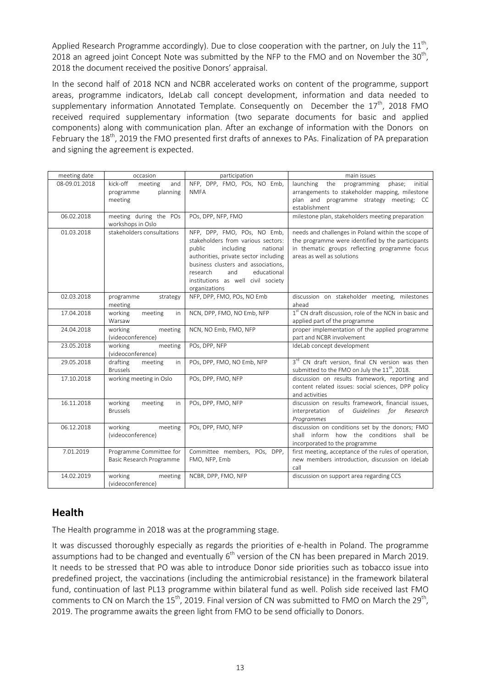Applied Research Programme accordingly). Due to close cooperation with the partner, on July the  $11^{\text{th}}$ , 2018 an agreed joint Concept Note was submitted by the NFP to the FMO and on November the 30<sup>th</sup>, 2018 the document received the positive Donors' appraisal.

In the second half of 2018 NCN and NCBR accelerated works on content of the programme, support areas, programme indicators, IdeLab call concept development, information and data needed to supplementary information Annotated Template. Consequently on December the  $17<sup>th</sup>$ , 2018 FMO received required supplementary information (two separate documents for basic and applied components) along with communication plan. After an exchange of information with the Donors on February the 18<sup>th</sup>, 2019 the FMO presented first drafts of annexes to PAs. Finalization of PA preparation and signing the agreement is expected.

| meeting date  | occasion                                                       | participation                                                                                                                                                                                                                                                                 | main issues                                                                                                                                                                            |
|---------------|----------------------------------------------------------------|-------------------------------------------------------------------------------------------------------------------------------------------------------------------------------------------------------------------------------------------------------------------------------|----------------------------------------------------------------------------------------------------------------------------------------------------------------------------------------|
| 08-09.01.2018 | kick-off<br>meeting<br>and<br>planning<br>programme<br>meeting | NFP, DPP, FMO, POs, NO Emb,<br><b>NMFA</b>                                                                                                                                                                                                                                    | launching<br>the<br>phase;<br>initial<br>programming<br>arrangements to stakeholder mapping, milestone<br>plan and programme strategy meeting; CC<br>establishment                     |
| 06.02.2018    | meeting during the POs<br>workshops in Oslo                    | POs, DPP, NFP, FMO                                                                                                                                                                                                                                                            | milestone plan, stakeholders meeting preparation                                                                                                                                       |
| 01.03.2018    | stakeholders consultations                                     | NFP, DPP, FMO, POs, NO Emb,<br>stakeholders from various sectors:<br>including<br>public<br>national<br>authorities, private sector including<br>business clusters and associations,<br>and<br>educational<br>research<br>institutions as well civil society<br>organizations | needs and challenges in Poland within the scope of<br>the programme were identified by the participants<br>in thematic groups reflecting programme focus<br>areas as well as solutions |
| 02.03.2018    | programme<br>strategy<br>meeting                               | NFP, DPP, FMO, POs, NO Emb                                                                                                                                                                                                                                                    | discussion on stakeholder meeting, milestones<br>ahead                                                                                                                                 |
| 17.04.2018    | working<br>meeting<br>in<br>Warsaw                             | NCN, DPP, FMO, NO Emb, NFP                                                                                                                                                                                                                                                    | 1 <sup>st</sup> CN draft discussion, role of the NCN in basic and<br>applied part of the programme                                                                                     |
| 24.04.2018    | working<br>meeting<br>(videoconference)                        | NCN, NO Emb, FMO, NFP                                                                                                                                                                                                                                                         | proper implementation of the applied programme<br>part and NCBR involvement                                                                                                            |
| 23.05.2018    | working<br>meeting<br>(videoconference)                        | POs, DPP, NFP                                                                                                                                                                                                                                                                 | IdeLab concept development                                                                                                                                                             |
| 29.05.2018    | drafting<br>meeting<br>in<br><b>Brussels</b>                   | POs, DPP, FMO, NO Emb, NFP                                                                                                                                                                                                                                                    | 3 <sup>rd</sup> CN draft version, final CN version was then<br>submitted to the FMO on July the 11 <sup>th</sup> , 2018.                                                               |
| 17.10.2018    | working meeting in Oslo                                        | POs, DPP, FMO, NFP                                                                                                                                                                                                                                                            | discussion on results framework, reporting and<br>content related issues: social sciences, DPP policy<br>and activities                                                                |
| 16.11.2018    | working<br>meeting<br>in<br><b>Brussels</b>                    | POs, DPP, FMO, NFP                                                                                                                                                                                                                                                            | discussion on results framework, financial issues,<br>of Guidelines for Research<br>interpretation<br>Programmes                                                                       |
| 06.12.2018    | working<br>meeting<br>(videoconference)                        | POs, DPP, FMO, NFP                                                                                                                                                                                                                                                            | discussion on conditions set by the donors; FMO<br>shall inform how the conditions shall be<br>incorporated to the programme                                                           |
| 7.01.2019     | Programme Committee for<br>Basic Research Programme            | Committee members, POs, DPP,<br>FMO, NFP, Emb                                                                                                                                                                                                                                 | first meeting, acceptance of the rules of operation,<br>new members introduction, discussion on IdeLab<br>call                                                                         |
| 14.02.2019    | working<br>meeting<br>(videoconference)                        | NCBR, DPP, FMO, NFP                                                                                                                                                                                                                                                           | discussion on support area regarding CCS                                                                                                                                               |

# **Health**

The Health programme in 2018 was at the programming stage.

It was discussed thoroughly especially as regards the priorities of e-health in Poland. The programme assumptions had to be changed and eventually  $6<sup>th</sup>$  version of the CN has been prepared in March 2019. It needs to be stressed that PO was able to introduce Donor side priorities such as tobacco issue into predefined project, the vaccinations (including the antimicrobial resistance) in the framework bilateral fund, continuation of last PL13 programme within bilateral fund as well. Polish side received last FMO comments to CN on March the 15<sup>th</sup>, 2019. Final version of CN was submitted to FMO on March the 29<sup>th</sup>, 2019. The programme awaits the green light from FMO to be send officially to Donors.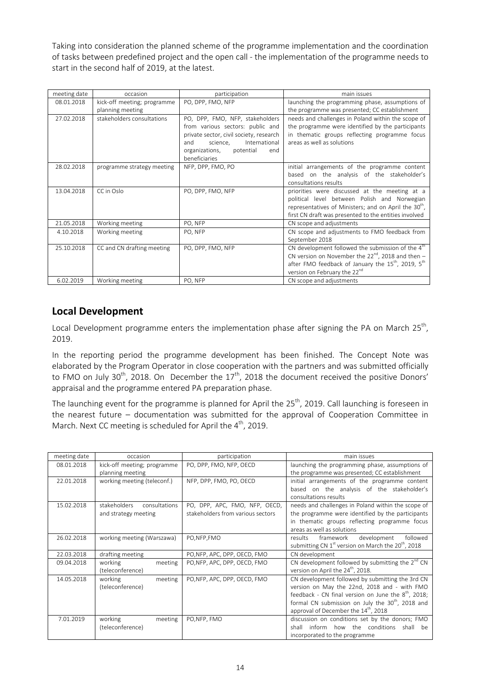Taking into consideration the planned scheme of the programme implementation and the coordination of tasks between predefined project and the open call - the implementation of the programme needs to start in the second half of 2019, at the latest.

| meeting date | occasion                    | participation                           | main issues                                                                |
|--------------|-----------------------------|-----------------------------------------|----------------------------------------------------------------------------|
| 08.01.2018   | kick-off meeting; programme | PO, DPP, FMO, NFP                       | launching the programming phase, assumptions of                            |
|              | planning meeting            |                                         | the programme was presented; CC establishment                              |
| 27.02.2018   | stakeholders consultations  | PO, DPP, FMO, NFP, stakeholders         | needs and challenges in Poland within the scope of                         |
|              |                             | from various sectors: public and        | the programme were identified by the participants                          |
|              |                             | private sector, civil society, research | in thematic groups reflecting programme focus                              |
|              |                             | International<br>science,<br>and        | areas as well as solutions                                                 |
|              |                             | potential<br>organizations,<br>end      |                                                                            |
|              |                             | beneficiaries                           |                                                                            |
| 28.02.2018   | programme strategy meeting  | NFP, DPP, FMO, PO                       | initial arrangements of the programme content                              |
|              |                             |                                         | based on the analysis of the stakeholder's                                 |
|              |                             |                                         | consultations results                                                      |
| 13.04.2018   | CC in Oslo                  | PO, DPP, FMO, NFP                       | priorities were discussed at the meeting at a                              |
|              |                             |                                         | political level between Polish and Norwegian                               |
|              |                             |                                         | representatives of Ministers; and on April the 30 <sup>th</sup> ,          |
|              |                             |                                         | first CN draft was presented to the entities involved                      |
| 21.05.2018   | Working meeting             | PO, NFP                                 | CN scope and adjustments                                                   |
| 4.10.2018    | Working meeting             | PO, NFP                                 | CN scope and adjustments to FMO feedback from                              |
|              |                             |                                         | September 2018                                                             |
| 25.10.2018   | CC and CN drafting meeting  | PO, DPP, FMO, NFP                       | CN development followed the submission of the $4th$                        |
|              |                             |                                         | CN version on November the $22^{nd}$ , 2018 and then -                     |
|              |                             |                                         | after FMO feedback of January the 15 <sup>th</sup> , 2019, 5 <sup>th</sup> |
|              |                             |                                         | version on February the 22 <sup>nd</sup>                                   |
| 6.02.2019    | Working meeting             | PO, NFP                                 | CN scope and adjustments                                                   |

# **Local Development**

Local Development programme enters the implementation phase after signing the PA on March 25<sup>th</sup>, 2019.

In the reporting period the programme development has been finished. The Concept Note was elaborated by the Program Operator in close cooperation with the partners and was submitted officially to FMO on July 30<sup>th</sup>, 2018. On December the  $17<sup>th</sup>$ , 2018 the document received the positive Donors' appraisal and the programme entered PA preparation phase.

The launching event for the programme is planned for April the  $25<sup>th</sup>$ , 2019. Call launching is foreseen in the nearest future – documentation was submitted for the approval of Cooperation Committee in March. Next CC meeting is scheduled for April the 4<sup>th</sup>, 2019.

| meeting date | occasion                                              | participation                                                      | main issues                                                                                                                                                                                                                                                      |
|--------------|-------------------------------------------------------|--------------------------------------------------------------------|------------------------------------------------------------------------------------------------------------------------------------------------------------------------------------------------------------------------------------------------------------------|
| 08.01.2018   | kick-off meeting; programme<br>planning meeting       | PO, DPP, FMO, NFP, OECD                                            | launching the programming phase, assumptions of<br>the programme was presented; CC establishment                                                                                                                                                                 |
| 22.01.2018   | working meeting (teleconf.)                           | NFP, DPP, FMO, PO, OECD                                            | initial arrangements of the programme content<br>based on the analysis of the stakeholder's<br>consultations results                                                                                                                                             |
| 15.02.2018   | stakeholders<br>consultations<br>and strategy meeting | PO, DPP, APC, FMO, NFP, OECD,<br>stakeholders from various sectors | needs and challenges in Poland within the scope of<br>the programme were identified by the participants<br>in thematic groups reflecting programme focus<br>areas as well as solutions                                                                           |
| 26.02.2018   | working meeting (Warszawa)                            | PO, NFP, FMO                                                       | followed<br>results<br>framework<br>development<br>submitting CN $1st$ version on March the $20th$ , 2018                                                                                                                                                        |
| 22.03.2018   | drafting meeting                                      | PO, NFP, APC, DPP, OECD, FMO                                       | CN development                                                                                                                                                                                                                                                   |
| 09.04.2018   | working<br>meeting<br>(teleconference)                | PO, NFP, APC, DPP, OECD, FMO                                       | CN development followed by submitting the 2 <sup>nd</sup> CN<br>version on April the 24 <sup>th</sup> , 2018.                                                                                                                                                    |
| 14.05.2018   | working<br>meeting<br>(teleconference)                | PO, NFP, APC, DPP, OECD, FMO                                       | CN development followed by submitting the 3rd CN<br>version on May the 22nd, 2018 and - with FMO<br>feedback - CN final version on June the $8th$ , 2018;<br>formal CN submission on July the 30 <sup>th</sup> , 2018 and<br>approval of December the 14th, 2018 |
| 7.01.2019    | working<br>meeting<br>(teleconference)                | PO, NFP, FMO                                                       | discussion on conditions set by the donors; FMO<br>how the conditions<br>shall<br>shall inform<br>be<br>incorporated to the programme                                                                                                                            |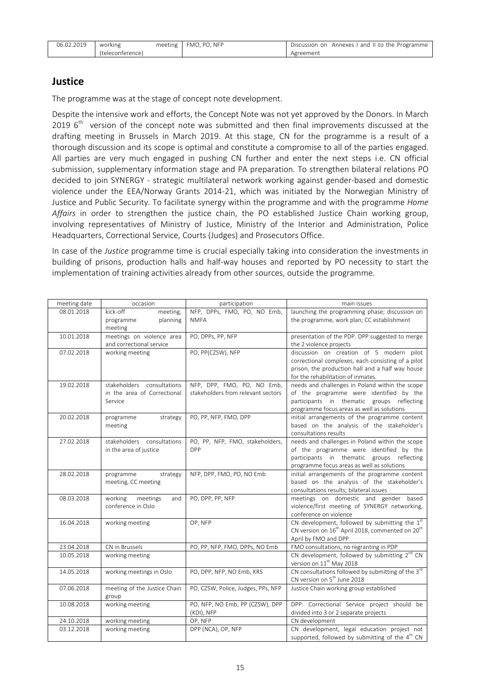| 06.02.2019 | working          | meeting $\parallel$ FMO, PO, NFP | Discussion on Annexes I and II to the Programme |
|------------|------------------|----------------------------------|-------------------------------------------------|
|            | (teleconference) |                                  | Agreement                                       |

## **Justice**

The programme was at the stage of concept note development.

Despite the intensive work and efforts, the Concept Note was not yet approved by the Donors. In March 2019  $6<sup>th</sup>$  version of the concept note was submitted and then final improvements discussed at the drafting meeting in Brussels in March 2019. At this stage, CN for the programme is a result of a thorough discussion and its scope is optimal and constitute a compromise to all of the parties engaged. All parties are very much engaged in pushing CN further and enter the next steps i.e. CN official submission, supplementary information stage and PA preparation. To strengthen bilateral relations PO decided to join SYNERGY - strategic multilateral network working against gender-based and domestic violence under the EEA/Norway Grants 2014-21, which was initiated by the Norwegian Ministry of Justice and Public Security. To facilitate synergy within the programme and with the programme *Home Affairs* in order to strengthen the justice chain, the PO established Justice Chain working group, involving representatives of Ministry of Justice, Ministry of the Interior and Administration, Police Headquarters, Correctional Service, Courts (Judges) and Prosecutors Office.

In case of the *Justice* programme time is crucial especially taking into consideration the investments in building of prisons, production halls and half-way houses and reported by PO necessity to start the implementation of training activities already from other sources, outside the programme.

| meeting date | occasion                                                             | participation                                                    | main issues                                                                                                                                                                              |
|--------------|----------------------------------------------------------------------|------------------------------------------------------------------|------------------------------------------------------------------------------------------------------------------------------------------------------------------------------------------|
| 08.01.2018   | kick-off<br>meeting,<br>planning<br>programme<br>meeting             | NFP, DPPs, FMO, PO, NO Emb,<br><b>NMFA</b>                       | launching the programming phase; discussion on<br>the programme, work plan; CC establishment                                                                                             |
| 10.01.2018   | meetings on violence area<br>and correctional service                | PO, DPPs, PP, NFP                                                | presentation of the PDP. DPP suggested to merge<br>the 2 violence projects                                                                                                               |
| 07.02.2018   | working meeting                                                      | PO, PP(CZSW), NFP                                                | discussion on creation of 5 modern pilot<br>correctional complexes, each consisting of a pilot<br>prison, the production hall and a half way house<br>for the rehabilitation of inmates. |
| 19.02.2018   | stakeholders consultations<br>in the area of Correctional<br>Service | NFP, DPP, FMO, PO, NO Emb,<br>stakeholders from relevant sectors | needs and challenges in Poland within the scope<br>of the programme were identified by the<br>participants in thematic groups reflecting<br>programme focus areas as well as solutions   |
| 20.02.2018   | strategy<br>programme<br>meeting                                     | PO, PP, NFP, FMO, DPP                                            | initial arrangements of the programme content<br>based on the analysis of the stakeholder's<br>consultations results                                                                     |
| 27.02.2018   | stakeholders consultations<br>in the area of justice                 | PO, PP, NFP, FMO, stakeholders,<br><b>DPP</b>                    | needs and challenges in Poland within the scope<br>of the programme were identified by the<br>participants in thematic groups reflecting<br>programme focus areas as well as solutions   |
| 28.02.2018   | programme<br>strategy<br>meeting, CC meeting                         | NFP, DPP, FMO, PO, NO Emb                                        | initial arrangements of the programme content<br>based on the analysis of the stakeholder's<br>consultations results; bilateral issues                                                   |
| 08.03.2018   | working<br>meetings<br>and<br>conference in Oslo                     | PO, DPP, PP, NFP                                                 | meetings on domestic and gender based<br>violence/first meeting of SYNERGY networking,<br>conference on violence                                                                         |
| 16.04.2018   | working meeting                                                      | OP, NFP                                                          | CN development, followed by submitting the $1st$<br>CN version on 16 <sup>th</sup> April 2018, commented on 20 <sup>th</sup><br>April by FMO and DPP                                     |
| 23.04.2018   | CN in Brussels                                                       | PO, PP, NFP, FMO, DPPs, NO Emb                                   | FMO consultations, no regranting in PDP                                                                                                                                                  |
| 10.05.2018   | working meeting                                                      |                                                                  | CN development, followed by submitting 2 <sup>nd</sup> CN<br>version on 11 <sup>th</sup> May 2018                                                                                        |
| 14.05.2018   | working meetings in Oslo                                             | PO, DPP, NFP, NO Emb, KRS                                        | CN consultations followed by submitting of the 3rd<br>CN version on 5 <sup>th</sup> June 2018                                                                                            |
| 07.06.2018   | meeting of the Justice Chain<br>group                                | PO, CZSW, Police, Judges, PPs, NFP                               | Justice Chain working group established                                                                                                                                                  |
| 10.08.2018   | working meeting                                                      | PO, NFP, NO Emb, PP (CZSW), DPP<br>(KDI), NFP                    | DPP: Correctional Service project should be<br>divided into 3 or 2 separate projects                                                                                                     |
| 24.10.2018   | working meeting                                                      | OP, NFP                                                          | CN development                                                                                                                                                                           |
| 03.12.2018   | working meeting                                                      | DPP (NCA), OP, NFP                                               | CN development, legal education project not<br>supported, followed by submitting of the 4 <sup>th</sup> CN                                                                               |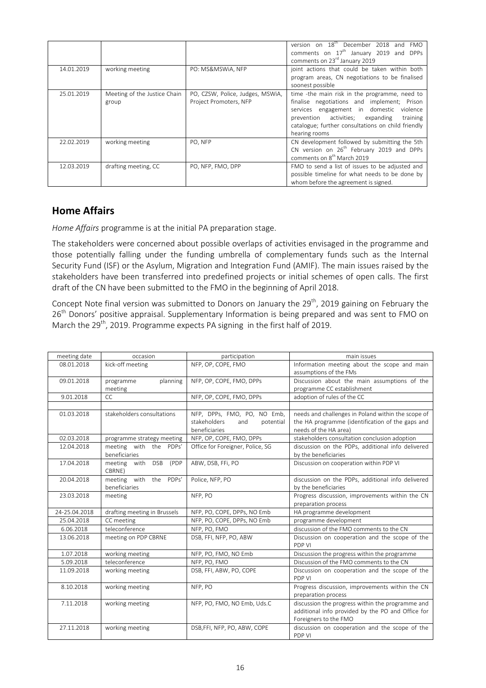|            |                                       |                                                            | version on 18 <sup>th</sup> December 2018 and FMO<br>comments on $17th$ January 2019 and DPPs<br>comments on 23 <sup>rd</sup> January 2019                                                                                                                         |
|------------|---------------------------------------|------------------------------------------------------------|--------------------------------------------------------------------------------------------------------------------------------------------------------------------------------------------------------------------------------------------------------------------|
| 14.01.2019 | working meeting                       | PO: MS&MSWIA, NFP                                          | joint actions that could be taken within both<br>program areas, CN negotiations to be finalised<br>soonest possible                                                                                                                                                |
| 25.01.2019 | Meeting of the Justice Chain<br>group | PO, CZSW, Police, Judges, MSWiA,<br>Project Promoters, NFP | time -the main risk in the programme, need to<br>finalise negotiations and implement; Prison<br>services engagement in domestic<br>violence<br>prevention activities; expanding<br>training<br>catalogue; further consultations on child friendly<br>hearing rooms |
| 22.02.2019 | working meeting                       | PO. NFP                                                    | CN development followed by submitting the 5th<br>CN version on 26 <sup>th</sup> February 2019 and DPPs<br>comments on 8 <sup>th</sup> March 2019                                                                                                                   |
| 12.03.2019 | drafting meeting, CC                  | PO, NFP, FMO, DPP                                          | FMO to send a list of issues to be adjusted and<br>possible timeline for what needs to be done by<br>whom before the agreement is signed.                                                                                                                          |

# **Home Affairs**

*Home Affairs* programme is at the initial PA preparation stage.

The stakeholders were concerned about possible overlaps of activities envisaged in the programme and those potentially falling under the funding umbrella of complementary funds such as the Internal Security Fund (ISF) or the Asylum, Migration and Integration Fund (AMIF). The main issues raised by the stakeholders have been transferred into predefined projects or initial schemes of open calls. The first draft of the CN have been submitted to the FMO in the beginning of April 2018.

Concept Note final version was submitted to Donors on January the 29<sup>th</sup>, 2019 gaining on February the 26<sup>th</sup> Donors' positive appraisal. Supplementary Information is being prepared and was sent to FMO on March the 29<sup>th</sup>, 2019. Programme expects PA signing in the first half of 2019.

| meeting date  | occasion                                     | participation                                                                    | main issues                                                                                                                     |
|---------------|----------------------------------------------|----------------------------------------------------------------------------------|---------------------------------------------------------------------------------------------------------------------------------|
| 08.01.2018    | kick-off meeting                             | NFP, OP, COPE, FMO                                                               | Information meeting about the scope and main<br>assumptions of the FMs                                                          |
| 09.01.2018    | programme<br>planning<br>meeting             | NFP, OP, COPE, FMO, DPPs                                                         | Discussion about the main assumptions of the<br>programme CC establishment                                                      |
| 9.01.2018     | CC                                           | NFP, OP, COPE, FMO, DPPs                                                         | adoption of rules of the CC                                                                                                     |
|               |                                              |                                                                                  |                                                                                                                                 |
| 01.03.2018    | stakeholders consultations                   | NFP, DPPs, FMO, PO, NO Emb,<br>stakeholders<br>potential<br>and<br>beneficiaries | needs and challenges in Poland within the scope of<br>the HA programme (identification of the gaps and<br>needs of the HA area) |
| 02.03.2018    | programme strategy meeting                   | NFP, OP, COPE, FMO, DPPs                                                         | stakeholders consultation conclusion adoption                                                                                   |
| 12.04.2018    | meeting with the PDPs'<br>beneficiaries      | Office for Foreigner, Police, SG                                                 | discussion on the PDPs, additional info delivered<br>by the beneficiaries                                                       |
| 17.04.2018    | meeting with<br><b>DSB</b><br>(PDP<br>CBRNE) | ABW, DSB, FFi, PO                                                                | Discussion on cooperation within PDP VI                                                                                         |
| 20.04.2018    | with the PDPs'<br>meeting<br>beneficiaries   | Police, NFP, PO                                                                  | discussion on the PDPs, additional info delivered<br>by the beneficiaries                                                       |
| 23.03.2018    | meeting                                      | NFP, PO                                                                          | Progress discussion, improvements within the CN<br>preparation process                                                          |
| 24-25.04.2018 | drafting meeting in Brussels                 | NFP, PO, COPE, DPPs, NO Emb                                                      | HA programme development                                                                                                        |
| 25.04.2018    | CC meeting                                   | NFP, PO, COPE, DPPs, NO Emb                                                      | programme development                                                                                                           |
| 6.06.2018     | teleconference                               | NFP, PO, FMO                                                                     | discussion of the FMO comments to the CN                                                                                        |
| 13.06.2018    | meeting on PDP CBRNE                         | DSB, FFI, NFP, PO, ABW                                                           | Discussion on cooperation and the scope of the<br>PDP VI                                                                        |
| 1.07.2018     | working meeting                              | NFP, PO, FMO, NO Emb                                                             | Discussion the progress within the programme                                                                                    |
| 5.09.2018     | teleconference                               | NFP, PO, FMO                                                                     | Discussion of the FMO comments to the CN                                                                                        |
| 11.09.2018    | working meeting                              | DSB, FFI, ABW, PO, COPE                                                          | Discussion on cooperation and the scope of the<br>PDP VI                                                                        |
| 8.10.2018     | working meeting                              | NFP, PO                                                                          | Progress discussion, improvements within the CN<br>preparation process                                                          |
| 7.11.2018     | working meeting                              | NFP, PO, FMO, NO Emb, Uds.C                                                      | discussion the progress within the programme and<br>additional info provided by the PO and Office for<br>Foreigners to the FMO  |
| 27.11.2018    | working meeting                              | DSB, FFI, NFP, PO, ABW, COPE                                                     | discussion on cooperation and the scope of the<br>PDP VI                                                                        |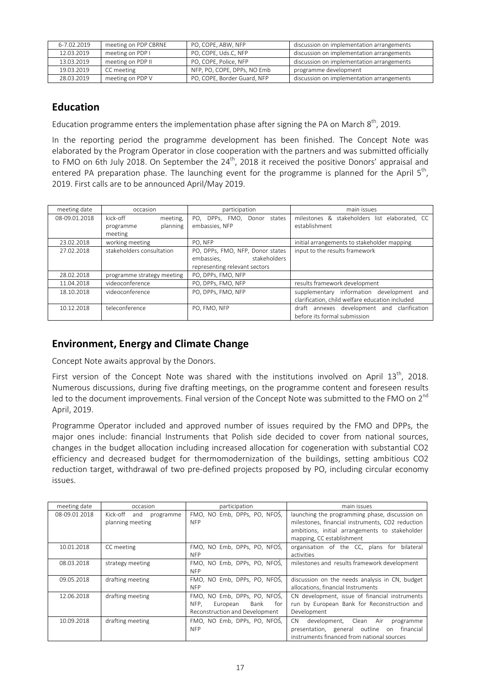| 6-7.02.2019 | meeting on PDP CBRNE | PO, COPE, ABW, NFP          | discussion on implementation arrangements |
|-------------|----------------------|-----------------------------|-------------------------------------------|
| 12.03.2019  | meeting on PDP I     | PO, COPE, Uds.C, NFP        | discussion on implementation arrangements |
| 13.03.2019  | meeting on PDP II    | PO, COPE, Police, NFP       | discussion on implementation arrangements |
| 19.03.2019  | CC meeting           | NFP, PO, COPE, DPPs, NO Emb | programme development                     |
| 28.03.2019  | meeting on PDP V     | PO, COPE, Border Guard, NFP | discussion on implementation arrangements |

# **Education**

Education programme enters the implementation phase after signing the PA on March  $8<sup>th</sup>$ , 2019.

In the reporting period the programme development has been finished. The Concept Note was elaborated by the Program Operator in close cooperation with the partners and was submitted officially to FMO on 6th July 2018. On September the  $24<sup>th</sup>$ , 2018 it received the positive Donors' appraisal and entered PA preparation phase. The launching event for the programme is planned for the April  $5<sup>th</sup>$ , 2019. First calls are to be announced April/May 2019.

| meeting date  | occasion                   | participation                    | main issues                                     |
|---------------|----------------------------|----------------------------------|-------------------------------------------------|
| 08-09.01.2018 | kick-off<br>meeting,       | PO, DPPs, FMO, Donor states      | milestones & stakeholders list elaborated. CC   |
|               | planning<br>programme      | embassies, NFP                   | establishment                                   |
|               | meeting                    |                                  |                                                 |
| 23.02.2018    | working meeting            | PO, NFP                          | initial arrangements to stakeholder mapping     |
| 27.02.2018    | stakeholders consultation  | PO, DPPs, FMO, NFP, Donor states | input to the results framework                  |
|               |                            | stakeholders<br>embassies.       |                                                 |
|               |                            | representing relevant sectors    |                                                 |
| 28.02.2018    | programme strategy meeting | PO, DPPs, FMO, NFP               |                                                 |
| 11.04.2018    | videoconference            | PO. DPPs. FMO. NFP               | results framework development                   |
| 18.10.2018    | videoconference            | PO, DPPs, FMO, NFP               | supplementary information development and       |
|               |                            |                                  | clarification, child welfare education included |
| 10.12.2018    | teleconference             | PO. FMO. NFP                     | draft annexes development and clarification     |
|               |                            |                                  | before its formal submission                    |

# **Environment, Energy and Climate Change**

Concept Note awaits approval by the Donors.

First version of the Concept Note was shared with the institutions involved on April 13<sup>th</sup>, 2018. Numerous discussions, during five drafting meetings, on the programme content and foreseen results led to the document improvements. Final version of the Concept Note was submitted to the FMO on 2<sup>nd</sup> April, 2019.

Programme Operator included and approved number of issues required by the FMO and DPPs, the major ones include: financial Instruments that Polish side decided to cover from national sources, changes in the budget allocation including increased allocation for cogeneration with substantial CO2 efficiency and decreased budget for thermomodernization of the buildings, setting ambitious CO2 reduction target, withdrawal of two pre-defined projects proposed by PO, including circular economy issues.

| meeting date  | occasion                     | participation                   | main issues                                      |
|---------------|------------------------------|---------------------------------|--------------------------------------------------|
| 08-09.01 2018 | Kick-off<br>and<br>programme | FMO, NO Emb, DPPs, PO, NFOS,    | launching the programming phase, discussion on   |
|               | planning meeting             | <b>NFP</b>                      | milestones, financial instruments, CO2 reduction |
|               |                              |                                 | ambitions, initial arrangements to stakeholder   |
|               |                              |                                 | mapping, CC establishment                        |
| 10.01.2018    | CC meeting                   | FMO, NO Emb, DPPs, PO, NFOS,    | organisation of the CC, plans for<br>bilateral   |
|               |                              | <b>NFP</b>                      | activities                                       |
| 08.03.2018    | strategy meeting             | FMO, NO Emb, DPPs, PO, NFOS,    | milestones and results framework development     |
|               |                              | <b>NFP</b>                      |                                                  |
| 09.05.2018    | drafting meeting             | FMO, NO Emb, DPPs, PO, NFOS,    | discussion on the needs analysis in CN, budget   |
|               |                              | <b>NFP</b>                      | allocations, financial Instruments               |
| 12.06.2018    | drafting meeting             | FMO, NO Emb, DPPs, PO, NFOS,    | CN development, issue of financial instruments   |
|               |                              | NFP.<br>Bank<br>for<br>European | run by European Bank for Reconstruction and      |
|               |                              | Reconstruction and Development  | Development                                      |
| 10.09.2018    | drafting meeting             | FMO, NO Emb, DPPs, PO, NFOS,    | development, Clean Air<br>CN.<br>programme       |
|               |                              | <b>NFP</b>                      | presentation, general outline<br>on financial    |
|               |                              |                                 | instruments financed from national sources       |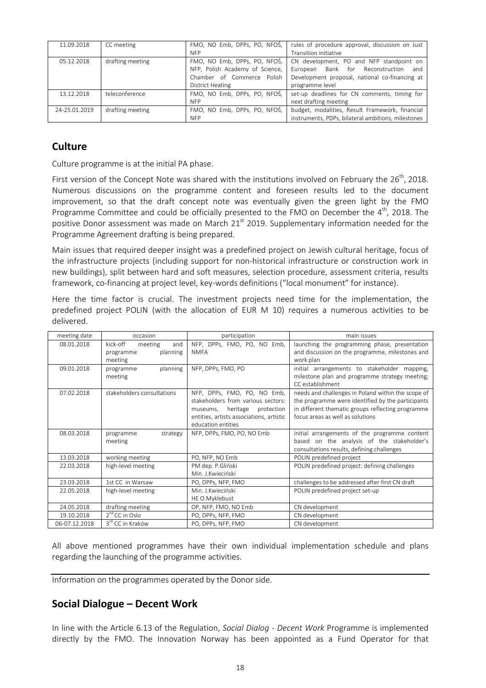| 11.09.2018    | CC meeting       |                                 | FMO, NO Emb, DPPs, PO, NFOS,   rules of procedure approval, discussion on Just |
|---------------|------------------|---------------------------------|--------------------------------------------------------------------------------|
|               |                  | <b>NFP</b>                      | Transition initiative                                                          |
| 05.12.2018    | drafting meeting | FMO, NO Emb, DPPs, PO, NFOS,    | CN development, PO and NFP standpoint on                                       |
|               |                  | NFP, Polish Academy of Science, | Bank for Reconstruction<br>European<br>and                                     |
|               |                  | Chamber of Commerce Polish      | Development proposal, national co-financing at                                 |
|               |                  | District Heating                | programme level                                                                |
| 13.12.2018    | teleconference   | FMO. NO Emb. DPPs. PO. NFOS.    | set-up deadlines for CN comments, timing for                                   |
|               |                  | <b>NFP</b>                      | next drafting meeting                                                          |
| 24-25.01.2019 | drafting meeting | FMO. NO Emb. DPPs. PO. NFOS.    | budget, modalities, Result Framework, financial                                |
|               |                  | <b>NFP</b>                      | instruments, PDPs, bilateral ambitions, milestones                             |

# **Culture**

Culture programme is at the initial PA phase.

First version of the Concept Note was shared with the institutions involved on February the 26<sup>th</sup>, 2018. Numerous discussions on the programme content and foreseen results led to the document improvement, so that the draft concept note was eventually given the green light by the FMO Programme Committee and could be officially presented to the FMO on December the  $4<sup>th</sup>$ , 2018. The positive Donor assessment was made on March  $21<sup>st</sup>$  2019. Supplementary information needed for the Programme Agreement drafting is being prepared.

Main issues that required deeper insight was a predefined project on Jewish cultural heritage, focus of the infrastructure projects (including support for non-historical infrastructure or construction work in new buildings), split between hard and soft measures, selection procedure, assessment criteria, results framework, co-financing at project level, key-words definitions ("local monument" for instance).

Here the time factor is crucial. The investment projects need time for the implementation, the predefined project POLIN (with the allocation of EUR M 10) requires a numerous activities to be delivered.

| meeting date  | occasion                                                       | participation                                                                                                                                                          | main issues                                                                                                                                                                                      |
|---------------|----------------------------------------------------------------|------------------------------------------------------------------------------------------------------------------------------------------------------------------------|--------------------------------------------------------------------------------------------------------------------------------------------------------------------------------------------------|
| 08.01.2018    | kick-off<br>meeting<br>and<br>planning<br>programme<br>meeting | NFP, DPPs, FMO, PO, NO Emb,<br><b>NMFA</b>                                                                                                                             | launching the programming phase, presentation<br>and discussion on the programme, milestones and<br>work plan                                                                                    |
| 09.01.2018    | planning<br>programme<br>meeting                               | NFP, DPPs, FMO, PO                                                                                                                                                     | initial arrangements to stakeholder mapping,<br>milestone plan and programme strategy meeting;<br>CC establishment                                                                               |
| 07.02.2018    | stakeholders consultations                                     | NFP, DPPs, FMO, PO, NO Emb,<br>stakeholders from various sectors:<br>museums, heritage<br>protection<br>entities, artists associations, artistic<br>education entities | needs and challenges in Poland within the scope of<br>the programme were identified by the participants<br>in different thematic groups reflecting programme<br>focus areas as well as solutions |
| 08.03.2018    | strategy<br>programme<br>meeting                               | NFP, DPPs, FMO, PO, NO Emb                                                                                                                                             | initial arrangements of the programme content<br>based on the analysis of the stakeholder's<br>consultations results, defining challenges                                                        |
| 13.03.2018    | working meeting                                                | PO, NFP, NO Emb                                                                                                                                                        | POLIN predefined project                                                                                                                                                                         |
| 22.03.2018    | high-level meeting                                             | PM dep. P.Gliński<br>Min. J.Kwieciński                                                                                                                                 | POLIN predefined project: defining challenges                                                                                                                                                    |
| 23.03.2018    | 1st CC in Warsaw                                               | PO, DPPs, NFP, FMO                                                                                                                                                     | challenges to be addressed after first CN draft                                                                                                                                                  |
| 22.05.2018    | high-level meeting                                             | Min. J.Kwieciński<br>HE O.Myklebust                                                                                                                                    | POLIN predefined project set-up                                                                                                                                                                  |
| 24.05.2018    | drafting meeting                                               | OP, NFP, FMO, NO Emb                                                                                                                                                   | CN development                                                                                                                                                                                   |
| 19.10.2018    | $2nd$ CC in Oslo                                               | PO, DPPs, NFP, FMO                                                                                                                                                     | CN development                                                                                                                                                                                   |
| 06-07.12.2018 | 3 <sup>rd</sup> CC in Kraków                                   | PO, DPPs, NFP, FMO                                                                                                                                                     | CN development                                                                                                                                                                                   |

All above mentioned programmes have their own individual implementation schedule and plans regarding the launching of the programme activities.

Information on the programmes operated by the Donor side.

# **Social Dialogue – Decent Work**

In line with the Article 6.13 of the Regulation, *Social Dialog - Decent Work* Programme is implemented directly by the FMO. The Innovation Norway has been appointed as a Fund Operator for that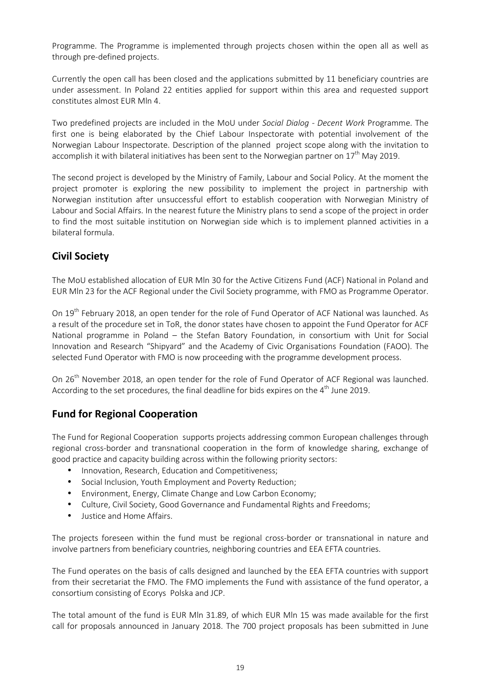Programme. The Programme is implemented through projects chosen within the open all as well as through pre-defined projects.

Currently the open call has been closed and the applications submitted by 11 beneficiary countries are under assessment. In Poland 22 entities applied for support within this area and requested support constitutes almost EUR Mln 4.

Two predefined projects are included in the MoU under *Social Dialog - Decent Work* Programme. The first one is being elaborated by the Chief Labour Inspectorate with potential involvement of the Norwegian Labour Inspectorate. Description of the planned project scope along with the invitation to accomplish it with bilateral initiatives has been sent to the Norwegian partner on  $17<sup>th</sup>$  May 2019.

The second project is developed by the Ministry of Family, Labour and Social Policy. At the moment the project promoter is exploring the new possibility to implement the project in partnership with Norwegian institution after unsuccessful effort to establish cooperation with Norwegian Ministry of Labour and Social Affairs. In the nearest future the Ministry plans to send a scope of the project in order to find the most suitable institution on Norwegian side which is to implement planned activities in a bilateral formula.

# **Civil Society**

The MoU established allocation of EUR Mln 30 for the Active Citizens Fund (ACF) National in Poland and EUR Mln 23 for the ACF Regional under the Civil Society programme, with FMO as Programme Operator.

On 19<sup>th</sup> February 2018, an open tender for the role of Fund Operator of ACF National was launched. As a result of the procedure set in ToR, the donor states have chosen to appoint the Fund Operator for ACF National programme in Poland – the Stefan Batory Foundation, in consortium with Unit for Social Innovation and Research "Shipyard" and the Academy of Civic Organisations Foundation (FAOO). The selected Fund Operator with FMO is now proceeding with the programme development process.

On 26<sup>th</sup> November 2018, an open tender for the role of Fund Operator of ACF Regional was launched. According to the set procedures, the final deadline for bids expires on the  $4<sup>th</sup>$  June 2019.

# **Fund for Regional Cooperation**

The Fund for Regional Cooperation supports projects addressing common European challenges through regional cross-border and transnational cooperation in the form of knowledge sharing, exchange of good practice and capacity building across within the following priority sectors:

- Innovation, Research, Education and Competitiveness;
- Social Inclusion, Youth Employment and Poverty Reduction;
- Environment, Energy, Climate Change and Low Carbon Economy;
- Culture, Civil Society, Good Governance and Fundamental Rights and Freedoms;
- Justice and Home Affairs.

The projects foreseen within the fund must be regional cross-border or transnational in nature and involve partners from beneficiary countries, neighboring countries and EEA EFTA countries.

The Fund operates on the basis of calls designed and launched by the EEA EFTA countries with support from their secretariat the FMO. The FMO implements the Fund with assistance of the fund operator, a consortium consisting of Ecorys Polska and JCP.

The total amount of the fund is EUR Mln 31.89, of which EUR Mln 15 was made available for the first call for proposals announced in January 2018. The 700 project proposals has been submitted in June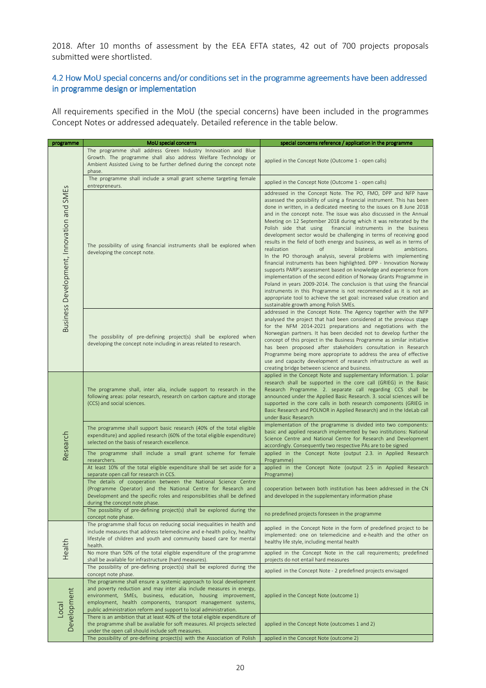2018. After 10 months of assessment by the EEA EFTA states, 42 out of 700 projects proposals submitted were shortlisted.

## 4.2 How MoU special concerns and/or conditions set in the programme agreements have been addressed in programme design or implementation

All requirements specified in the MoU (the special concerns) have been included in the programmes Concept Notes or addressed adequately. Detailed reference in the table below.

| programme                                 | MoU special concerns                                                                                                                                                                                                                                                                                                                             | special concerns reference / application in the programme                                                                                                                                                                                                                                                                                                                                                                                                                                                                                                                                                                                                                                                                                                                                                                                                                                                                                                                                                                                                                                                                                                                              |  |
|-------------------------------------------|--------------------------------------------------------------------------------------------------------------------------------------------------------------------------------------------------------------------------------------------------------------------------------------------------------------------------------------------------|----------------------------------------------------------------------------------------------------------------------------------------------------------------------------------------------------------------------------------------------------------------------------------------------------------------------------------------------------------------------------------------------------------------------------------------------------------------------------------------------------------------------------------------------------------------------------------------------------------------------------------------------------------------------------------------------------------------------------------------------------------------------------------------------------------------------------------------------------------------------------------------------------------------------------------------------------------------------------------------------------------------------------------------------------------------------------------------------------------------------------------------------------------------------------------------|--|
| Business Development, Innovation and SMEs | The programme shall address Green Industry Innovation and Blue<br>Growth. The programme shall also address Welfare Technology or<br>Ambient Assisted Living to be further defined during the concept note<br>phase.                                                                                                                              | applied in the Concept Note (Outcome 1 - open calls)                                                                                                                                                                                                                                                                                                                                                                                                                                                                                                                                                                                                                                                                                                                                                                                                                                                                                                                                                                                                                                                                                                                                   |  |
|                                           | The programme shall include a small grant scheme targeting female<br>entrepreneurs.                                                                                                                                                                                                                                                              | applied in the Concept Note (Outcome 1 - open calls)                                                                                                                                                                                                                                                                                                                                                                                                                                                                                                                                                                                                                                                                                                                                                                                                                                                                                                                                                                                                                                                                                                                                   |  |
|                                           | The possibility of using financial instruments shall be explored when<br>developing the concept note.                                                                                                                                                                                                                                            | addressed in the Concept Note. The PO, FMO, DPP and NFP have<br>assessed the possibility of using a financial instrument. This has been<br>done in written, in a dedicated meeting to the issues on 8 June 2018<br>and in the concept note. The issue was also discussed in the Annual<br>Meeting on 12 September 2018 during which it was reiterated by the<br>Polish side that using<br>financial instruments in the business<br>development sector would be challenging in terms of receiving good<br>results in the field of both energy and business, as well as in terms of<br>realization<br>of<br>bilateral<br>ambitions.<br>In the PO thorough analysis, several problems with implementing<br>financial instruments has been highlighted. DPP - Innovation Norway<br>supports PARP's assessment based on knowledge and experience from<br>implementation of the second edition of Norway Grants Programme in<br>Poland in years 2009-2014. The conclusion is that using the financial<br>instruments in this Programme is not recommended as it is not an<br>appropriate tool to achieve the set goal: increased value creation and<br>sustainable growth among Polish SMEs. |  |
|                                           | The possibility of pre-defining project(s) shall be explored when<br>developing the concept note including in areas related to research.                                                                                                                                                                                                         | addressed in the Concept Note. The Agency together with the NFP<br>analysed the project that had been considered at the previous stage<br>for the NFM 2014-2021 preparations and negotiations with the<br>Norwegian partners. It has been decided not to develop further the<br>concept of this project in the Business Programme as similar initiative<br>has been proposed after stakeholders consultation in Research<br>Programme being more appropriate to address the area of effective<br>use and capacity development of research infrastructure as well as<br>creating bridge between science and business.                                                                                                                                                                                                                                                                                                                                                                                                                                                                                                                                                                   |  |
| Research                                  | The programme shall, inter alia, include support to research in the<br>following areas: polar research, research on carbon capture and storage<br>(CCS) and social sciences.                                                                                                                                                                     | applied in the Concept Note and supplementary Information. 1. polar<br>research shall be supported in the core call (GRIEG) in the Basic<br>Research Programme. 2. separate call regarding CCS shall be<br>announced under the Applied Basic Research. 3. social sciences will be<br>supported in the core calls in both research components (GRIEG in<br>Basic Research and POLNOR in Applied Research) and in the IdeLab call<br>under Basic Research                                                                                                                                                                                                                                                                                                                                                                                                                                                                                                                                                                                                                                                                                                                                |  |
|                                           | The programme shall support basic research (40% of the total eligible<br>expenditure) and applied research (60% of the total eligible expenditure)<br>selected on the basis of research excellence.                                                                                                                                              | implementation of the programme is divided into two components:<br>basic and applied research implemented by two institutions: National<br>Science Centre and National Centre for Research and Development<br>accordingly. Consequently two respective PAs are to be signed                                                                                                                                                                                                                                                                                                                                                                                                                                                                                                                                                                                                                                                                                                                                                                                                                                                                                                            |  |
|                                           | The programme shall include a small grant scheme for female<br>researchers.                                                                                                                                                                                                                                                                      | applied in the Concept Note (output 2.3. in Applied Research<br>Programme)                                                                                                                                                                                                                                                                                                                                                                                                                                                                                                                                                                                                                                                                                                                                                                                                                                                                                                                                                                                                                                                                                                             |  |
|                                           | At least 10% of the total eligible expenditure shall be set aside for a<br>separate open call for research in CCS.                                                                                                                                                                                                                               | applied in the Concept Note (output 2.5 in Applied Research<br>Programme)                                                                                                                                                                                                                                                                                                                                                                                                                                                                                                                                                                                                                                                                                                                                                                                                                                                                                                                                                                                                                                                                                                              |  |
|                                           | The details of cooperation between the National Science Centre<br>(Programme Operator) and the National Centre for Research and<br>Development and the specific roles and responsibilities shall be defined<br>during the concept note phase.                                                                                                    | cooperation between both institution has been addressed in the CN<br>and developed in the supplementary information phase                                                                                                                                                                                                                                                                                                                                                                                                                                                                                                                                                                                                                                                                                                                                                                                                                                                                                                                                                                                                                                                              |  |
|                                           | The possibility of pre-defining project(s) shall be explored during the<br>concept note phase.                                                                                                                                                                                                                                                   | no predefined projects foreseen in the programme                                                                                                                                                                                                                                                                                                                                                                                                                                                                                                                                                                                                                                                                                                                                                                                                                                                                                                                                                                                                                                                                                                                                       |  |
|                                           | The programme shall focus on reducing social inequalities in health and<br>include measures that address telemedicine and e-health policy, healthy<br>lifestyle of children and youth and community based care for mental<br>health.                                                                                                             | applied in the Concept Note in the form of predefined project to be<br>implemented: one on telemedicine and e-health and the other on<br>healthy life style, including mental health                                                                                                                                                                                                                                                                                                                                                                                                                                                                                                                                                                                                                                                                                                                                                                                                                                                                                                                                                                                                   |  |
| Health                                    | No more than 50% of the total eligible expenditure of the programme<br>shall be available for infrastructure (hard measures).                                                                                                                                                                                                                    | applied in the Concept Note in the call requirements; predefined<br>projects do not entail hard measures                                                                                                                                                                                                                                                                                                                                                                                                                                                                                                                                                                                                                                                                                                                                                                                                                                                                                                                                                                                                                                                                               |  |
|                                           | The possibility of pre-defining project(s) shall be explored during the<br>concept note phase.                                                                                                                                                                                                                                                   | applied in the Concept Note - 2 predefined projects envisaged                                                                                                                                                                                                                                                                                                                                                                                                                                                                                                                                                                                                                                                                                                                                                                                                                                                                                                                                                                                                                                                                                                                          |  |
| Development<br>Local                      | The programme shall ensure a systemic approach to local development<br>and poverty reduction and may inter alia include measures in energy,<br>environment, SMEs, business, education, housing improvement,<br>employment, health components, transport management systems,<br>public administration reform and support to local administration. | applied in the Concept Note (outcome 1)                                                                                                                                                                                                                                                                                                                                                                                                                                                                                                                                                                                                                                                                                                                                                                                                                                                                                                                                                                                                                                                                                                                                                |  |
|                                           | There is an ambition that at least 40% of the total eligible expenditure of<br>the programme shall be available for soft measures. All projects selected<br>under the open call should include soft measures.                                                                                                                                    | applied in the Concept Note (outcomes 1 and 2)                                                                                                                                                                                                                                                                                                                                                                                                                                                                                                                                                                                                                                                                                                                                                                                                                                                                                                                                                                                                                                                                                                                                         |  |
|                                           | The possibility of pre-defining project(s) with the Association of Polish                                                                                                                                                                                                                                                                        | applied in the Concept Note (outcome 2)                                                                                                                                                                                                                                                                                                                                                                                                                                                                                                                                                                                                                                                                                                                                                                                                                                                                                                                                                                                                                                                                                                                                                |  |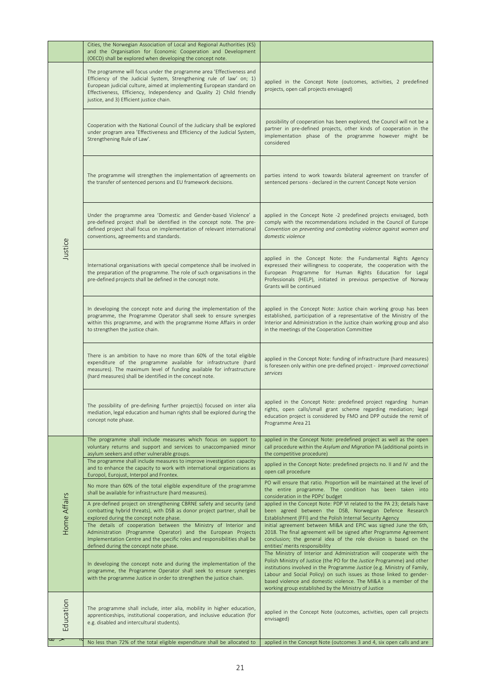|              | Cities, the Norwegian Association of Local and Regional Authorities (KS)<br>and the Organisation for Economic Cooperation and Development                                                                                                                                                                                                                                                                |                                                                                                                                                                                                                                                                                                                                                                                                                                |
|--------------|----------------------------------------------------------------------------------------------------------------------------------------------------------------------------------------------------------------------------------------------------------------------------------------------------------------------------------------------------------------------------------------------------------|--------------------------------------------------------------------------------------------------------------------------------------------------------------------------------------------------------------------------------------------------------------------------------------------------------------------------------------------------------------------------------------------------------------------------------|
|              | (OECD) shall be explored when developing the concept note.<br>The programme will focus under the programme area 'Effectiveness and<br>Efficiency of the Judicial System, Strengthening rule of law' on; 1)<br>European judicial culture, aimed at implementing European standard on<br>Effectiveness, Efficiency, Independency and Quality 2) Child friendly<br>justice, and 3) Efficient justice chain. | applied in the Concept Note (outcomes, activities, 2 predefined<br>projects, open call projects envisaged)                                                                                                                                                                                                                                                                                                                     |
| Justice      | Cooperation with the National Council of the Judiciary shall be explored<br>under program area 'Effectiveness and Efficiency of the Judicial System,<br>Strengthening Rule of Law'.                                                                                                                                                                                                                      | possibility of cooperation has been explored, the Council will not be a<br>partner in pre-defined projects, other kinds of cooperation in the<br>implementation phase of the programme however might be<br>considered                                                                                                                                                                                                          |
|              | The programme will strengthen the implementation of agreements on<br>the transfer of sentenced persons and EU framework decisions.                                                                                                                                                                                                                                                                       | parties intend to work towards bilateral agreement on transfer of<br>sentenced persons - declared in the current Concept Note version                                                                                                                                                                                                                                                                                          |
|              | Under the programme area 'Domestic and Gender-based Violence' a<br>pre-defined project shall be identified in the concept note. The pre-<br>defined project shall focus on implementation of relevant international<br>conventions, agreements and standards.                                                                                                                                            | applied in the Concept Note -2 predefined projects envisaged, both<br>comply with the recommendations included in the Council of Europe<br>Convention on preventing and combating violence against women and<br>domestic violence                                                                                                                                                                                              |
|              | International organisations with special competence shall be involved in<br>the preparation of the programme. The role of such organisations in the<br>pre-defined projects shall be defined in the concept note.                                                                                                                                                                                        | applied in the Concept Note: the Fundamental Rights Agency<br>expressed their willingness to cooperate, the cooperation with the<br>European Programme for Human Rights Education for Legal<br>Professionals (HELP), initiated in previous perspective of Norway<br>Grants will be continued                                                                                                                                   |
|              | In developing the concept note and during the implementation of the<br>programme, the Programme Operator shall seek to ensure synergies<br>within this programme, and with the programme Home Affairs in order<br>to strengthen the justice chain.                                                                                                                                                       | applied in the Concept Note: Justice chain working group has been<br>established, participation of a representative of the Ministry of the<br>Interior and Administration in the Justice chain working group and also<br>in the meetings of the Cooperation Committee                                                                                                                                                          |
|              | There is an ambition to have no more than 60% of the total eligible<br>expenditure of the programme available for infrastructure (hard<br>measures). The maximum level of funding available for infrastructure<br>(hard measures) shall be identified in the concept note.                                                                                                                               | applied in the Concept Note: funding of infrastructure (hard measures)<br>is foreseen only within one pre-defined project - Improved correctional<br>services                                                                                                                                                                                                                                                                  |
|              | The possibility of pre-defining further project(s) focused on inter alia<br>mediation, legal education and human rights shall be explored during the<br>concept note phase.                                                                                                                                                                                                                              | applied in the Concept Note: predefined project regarding human<br>rights, open calls/small grant scheme regarding mediation; legal<br>education project is considered by FMO and DPP outside the remit of<br>Programme Area 21                                                                                                                                                                                                |
|              | The programme shall include measures which focus on support to<br>voluntary returns and support and services to unaccompanied minor<br>asylum seekers and other vulnerable groups.                                                                                                                                                                                                                       | applied in the Concept Note: predefined project as well as the open<br>call procedure within the Asylum and Migration PA (additional points in<br>the competitive procedure)                                                                                                                                                                                                                                                   |
|              | The programme shall include measures to improve investigation capacity<br>and to enhance the capacity to work with international organizations as<br>Europol, Eurojust, Interpol and Frontex.                                                                                                                                                                                                            | applied in the Concept Note: predefined projects no. II and IV and the<br>open call procedure                                                                                                                                                                                                                                                                                                                                  |
|              | No more than 60% of the total eligible expenditure of the programme<br>shall be available for infrastructure (hard measures).                                                                                                                                                                                                                                                                            | PO will ensure that ratio. Proportion will be maintained at the level of<br>the entire programme. The condition has been taken into<br>consideration in the PDPs' budget                                                                                                                                                                                                                                                       |
| Home Affairs | A pre-defined project on strengthening CBRNE safety and security (and<br>combatting hybrid threats), with DSB as donor project partner, shall be<br>explored during the concept note phase.                                                                                                                                                                                                              | applied in the Concept Note: PDP VI related to the PA 23; details have<br>been agreed between the DSB, Norwegian Defence Research<br>Establishment (FFI) and the Polish Internal Security Agency                                                                                                                                                                                                                               |
|              | The details of cooperation between the Ministry of Interior and<br>Administration (Programme Operator) and the European Projects<br>Implementation Centre and the specific roles and responsibilities shall be<br>defined during the concept note phase.                                                                                                                                                 | initial agreement between MI&A and EPIC was signed June the 6th,<br>2018. The final agreement will be signed after Programme Agreement<br>conclusion; the general idea of the role division is based on the<br>entities' merits responsibility                                                                                                                                                                                 |
|              | In developing the concept note and during the implementation of the<br>programme, the Programme Operator shall seek to ensure synergies<br>with the programme Justice in order to strengthen the justice chain.                                                                                                                                                                                          | The Ministry of Interior and Administration will cooperate with the<br>Polish Ministry of Justice (the PO for the Justice Programme) and other<br>institutions involved in the Programme Justice (e.g. Ministry of Family,<br>Labour and Social Policy) on such issues as those linked to gender-<br>based violence and domestic violence. The MI&A is a member of the<br>working group established by the Ministry of Justice |
| Education    | The programme shall include, inter alia, mobility in higher education,<br>apprenticeships, institutional cooperation, and inclusive education (for<br>e.g. disabled and intercultural students).                                                                                                                                                                                                         | applied in the Concept Note (outcomes, activities, open call projects<br>envisaged)                                                                                                                                                                                                                                                                                                                                            |
|              | No less than 72% of the total eligible expenditure shall be allocated to                                                                                                                                                                                                                                                                                                                                 | applied in the Concept Note (outcomes 3 and 4, six open calls and are                                                                                                                                                                                                                                                                                                                                                          |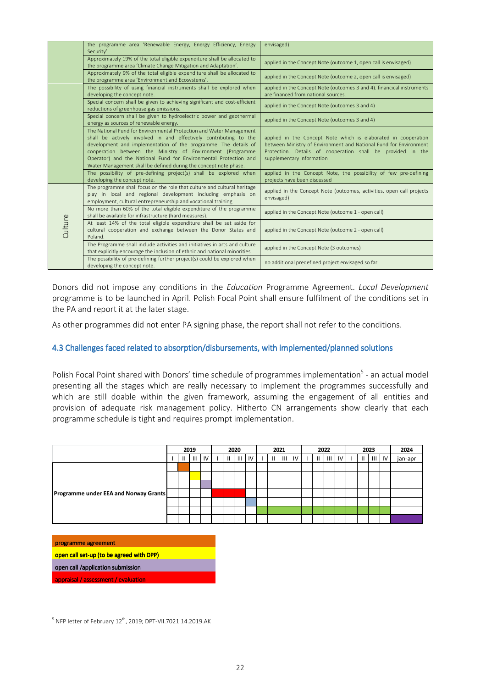|         | the programme area 'Renewable Energy, Energy Efficiency, Energy<br>Security'.                                                                                                                                                                                                                                                                                                                                     | envisaged)                                                                                                                                                                                                                      |  |
|---------|-------------------------------------------------------------------------------------------------------------------------------------------------------------------------------------------------------------------------------------------------------------------------------------------------------------------------------------------------------------------------------------------------------------------|---------------------------------------------------------------------------------------------------------------------------------------------------------------------------------------------------------------------------------|--|
|         | Approximately 19% of the total eligible expenditure shall be allocated to<br>the programme area 'Climate Change Mitigation and Adaptation'.                                                                                                                                                                                                                                                                       | applied in the Concept Note (outcome 1, open call is envisaged)                                                                                                                                                                 |  |
|         | Approximately 9% of the total eligible expenditure shall be allocated to<br>the programme area 'Environment and Ecosystems'.                                                                                                                                                                                                                                                                                      | applied in the Concept Note (outcome 2, open call is envisaged)                                                                                                                                                                 |  |
|         | The possibility of using financial instruments shall be explored when<br>developing the concept note.                                                                                                                                                                                                                                                                                                             | applied in the Concept Note (outcomes 3 and 4). financical instruments<br>are financed from national sources.                                                                                                                   |  |
|         | Special concern shall be given to achieving significant and cost-efficient<br>reductions of greenhouse gas emissions.                                                                                                                                                                                                                                                                                             | applied in the Concept Note (outcomes 3 and 4)                                                                                                                                                                                  |  |
|         | Special concern shall be given to hydroelectric power and geothermal<br>energy as sources of renewable energy.                                                                                                                                                                                                                                                                                                    | applied in the Concept Note (outcomes 3 and 4)                                                                                                                                                                                  |  |
|         | The National Fund for Environmental Protection and Water Management<br>shall be actively involved in and effectively contributing to the<br>development and implementation of the programme. The details of<br>cooperation between the Ministry of Environment (Programme<br>Operator) and the National Fund for Environmental Protection and<br>Water Management shall be defined during the concept note phase. | applied in the Concept Note which is elaborated in cooperation<br>between Ministry of Environment and National Fund for Environment<br>Protection. Details of cooperation shall be provided in the<br>supplementary information |  |
|         | The possibility of pre-defining project(s) shall be explored when<br>developing the concept note.                                                                                                                                                                                                                                                                                                                 | applied in the Concept Note, the possibility of few pre-defining<br>projects have been discussed                                                                                                                                |  |
| Culture | The programme shall focus on the role that culture and cultural heritage<br>play in local and regional development including emphasis on<br>employment, cultural entrepreneurship and vocational training.                                                                                                                                                                                                        | applied in the Concept Note (outcomes, activities, open call projects<br>envisaged)                                                                                                                                             |  |
|         | No more than 60% of the total eligible expenditure of the programme<br>shall be available for infrastructure (hard measures).                                                                                                                                                                                                                                                                                     | applied in the Concept Note (outcome 1 - open call)                                                                                                                                                                             |  |
|         | At least 14% of the total eligible expenditure shall be set aside for<br>cultural cooperation and exchange between the Donor States and<br>Poland.                                                                                                                                                                                                                                                                | applied in the Concept Note (outcome 2 - open call)                                                                                                                                                                             |  |
|         | The Programme shall include activities and initiatives in arts and culture<br>that explicitly encourage the inclusion of ethnic and national minorities.                                                                                                                                                                                                                                                          | applied in the Concept Note (3 outcomes)                                                                                                                                                                                        |  |
|         | The possibility of pre-defining further project(s) could be explored when<br>developing the concept note.                                                                                                                                                                                                                                                                                                         | no additional predefined project envisaged so far                                                                                                                                                                               |  |

Donors did not impose any conditions in the *Education* Programme Agreement. *Local Development* programme is to be launched in April. Polish Focal Point shall ensure fulfilment of the conditions set in the PA and report it at the later stage.

As other programmes did not enter PA signing phase, the report shall not refer to the conditions.

### 4.3 Challenges faced related to absorption/disbursements, with implemented/planned solutions

Polish Focal Point shared with Donors' time schedule of programmes implementation<sup>5</sup> - an actual model presenting all the stages which are really necessary to implement the programmes successfully and which are still doable within the given framework, assuming the engagement of all entities and provision of adequate risk management policy. Hitherto CN arrangements show clearly that each programme schedule is tight and requires prompt implementation.



programme agreement

l

open call set-up (to be agreed with DPP)

open call /application submission

appraisal / assessment / evaluation

 $^5$  NFP letter of February 12<sup>th</sup>, 2019; DPT-VII.7021.14.2019.AK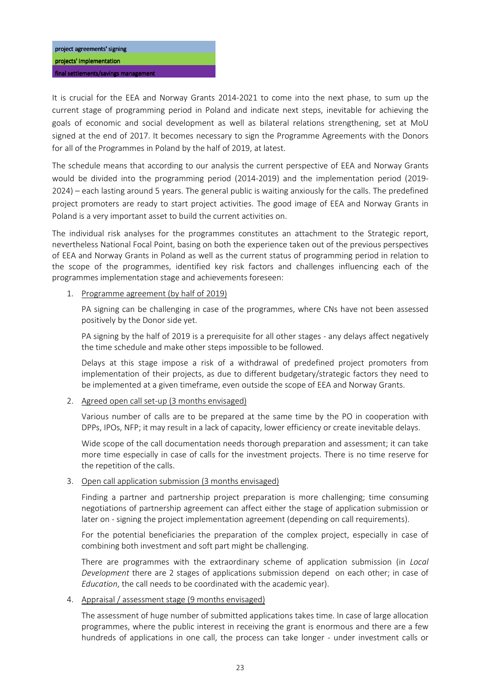final settlements/savings management

It is crucial for the EEA and Norway Grants 2014-2021 to come into the next phase, to sum up the current stage of programming period in Poland and indicate next steps, inevitable for achieving the goals of economic and social development as well as bilateral relations strengthening, set at MoU signed at the end of 2017. It becomes necessary to sign the Programme Agreements with the Donors for all of the Programmes in Poland by the half of 2019, at latest.

The schedule means that according to our analysis the current perspective of EEA and Norway Grants would be divided into the programming period (2014-2019) and the implementation period (2019- 2024) – each lasting around 5 years. The general public is waiting anxiously for the calls. The predefined project promoters are ready to start project activities. The good image of EEA and Norway Grants in Poland is a very important asset to build the current activities on.

The individual risk analyses for the programmes constitutes an attachment to the Strategic report, nevertheless National Focal Point, basing on both the experience taken out of the previous perspectives of EEA and Norway Grants in Poland as well as the current status of programming period in relation to the scope of the programmes, identified key risk factors and challenges influencing each of the programmes implementation stage and achievements foreseen:

## 1. Programme agreement (by half of 2019)

PA signing can be challenging in case of the programmes, where CNs have not been assessed positively by the Donor side yet.

PA signing by the half of 2019 is a prerequisite for all other stages - any delays affect negatively the time schedule and make other steps impossible to be followed.

Delays at this stage impose a risk of a withdrawal of predefined project promoters from implementation of their projects, as due to different budgetary/strategic factors they need to be implemented at a given timeframe, even outside the scope of EEA and Norway Grants.

## 2. Agreed open call set-up (3 months envisaged)

Various number of calls are to be prepared at the same time by the PO in cooperation with DPPs, IPOs, NFP; it may result in a lack of capacity, lower efficiency or create inevitable delays.

Wide scope of the call documentation needs thorough preparation and assessment; it can take more time especially in case of calls for the investment projects. There is no time reserve for the repetition of the calls.

### 3. Open call application submission (3 months envisaged)

Finding a partner and partnership project preparation is more challenging; time consuming negotiations of partnership agreement can affect either the stage of application submission or later on - signing the project implementation agreement (depending on call requirements).

For the potential beneficiaries the preparation of the complex project, especially in case of combining both investment and soft part might be challenging.

There are programmes with the extraordinary scheme of application submission (in *Local Development* there are 2 stages of applications submission depend on each other; in case of *Education*, the call needs to be coordinated with the academic year).

### 4. Appraisal / assessment stage (9 months envisaged)

The assessment of huge number of submitted applications takes time. In case of large allocation programmes, where the public interest in receiving the grant is enormous and there are a few hundreds of applications in one call, the process can take longer - under investment calls or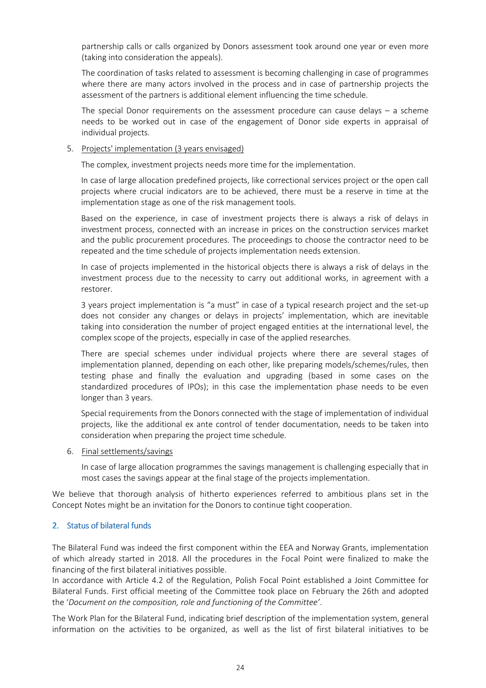partnership calls or calls organized by Donors assessment took around one year or even more (taking into consideration the appeals).

The coordination of tasks related to assessment is becoming challenging in case of programmes where there are many actors involved in the process and in case of partnership projects the assessment of the partners is additional element influencing the time schedule.

The special Donor requirements on the assessment procedure can cause delays – a scheme needs to be worked out in case of the engagement of Donor side experts in appraisal of individual projects.

#### 5. Projects' implementation (3 years envisaged)

The complex, investment projects needs more time for the implementation.

In case of large allocation predefined projects, like correctional services project or the open call projects where crucial indicators are to be achieved, there must be a reserve in time at the implementation stage as one of the risk management tools.

Based on the experience, in case of investment projects there is always a risk of delays in investment process, connected with an increase in prices on the construction services market and the public procurement procedures. The proceedings to choose the contractor need to be repeated and the time schedule of projects implementation needs extension.

In case of projects implemented in the historical objects there is always a risk of delays in the investment process due to the necessity to carry out additional works, in agreement with a restorer.

3 years project implementation is "a must" in case of a typical research project and the set-up does not consider any changes or delays in projects' implementation, which are inevitable taking into consideration the number of project engaged entities at the international level, the complex scope of the projects, especially in case of the applied researches.

There are special schemes under individual projects where there are several stages of implementation planned, depending on each other, like preparing models/schemes/rules, then testing phase and finally the evaluation and upgrading (based in some cases on the standardized procedures of IPOs); in this case the implementation phase needs to be even longer than 3 years.

Special requirements from the Donors connected with the stage of implementation of individual projects, like the additional ex ante control of tender documentation, needs to be taken into consideration when preparing the project time schedule.

#### 6. Final settlements/savings

In case of large allocation programmes the savings management is challenging especially that in most cases the savings appear at the final stage of the projects implementation.

We believe that thorough analysis of hitherto experiences referred to ambitious plans set in the Concept Notes might be an invitation for the Donors to continue tight cooperation.

### 2. Status of bilateral funds

The Bilateral Fund was indeed the first component within the EEA and Norway Grants, implementation of which already started in 2018. All the procedures in the Focal Point were finalized to make the financing of the first bilateral initiatives possible.

In accordance with Article 4.2 of the Regulation, Polish Focal Point established a Joint Committee for Bilateral Funds. First official meeting of the Committee took place on February the 26th and adopted the '*Document on the composition, role and functioning of the Committee'*.

The Work Plan for the Bilateral Fund, indicating brief description of the implementation system, general information on the activities to be organized, as well as the list of first bilateral initiatives to be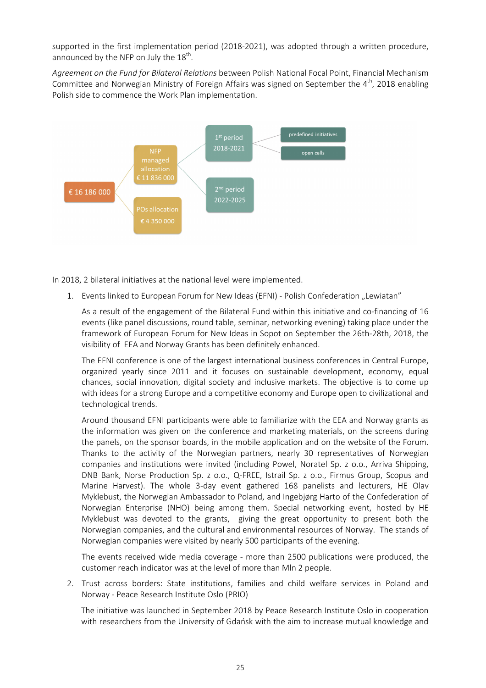supported in the first implementation period (2018-2021), was adopted through a written procedure, announced by the NFP on July the  $18^{\text{th}}$ .

*Agreement on the Fund for Bilateral Relations* between Polish National Focal Point, Financial Mechanism Committee and Norwegian Ministry of Foreign Affairs was signed on September the  $4<sup>th</sup>$ , 2018 enabling Polish side to commence the Work Plan implementation.



In 2018, 2 bilateral initiatives at the national level were implemented.

1. Events linked to European Forum for New Ideas (EFNI) - Polish Confederation "Lewiatan"

As a result of the engagement of the Bilateral Fund within this initiative and co-financing of 16 events (like panel discussions, round table, seminar, networking evening) taking place under the framework of European Forum for New Ideas in Sopot on September the 26th-28th, 2018, the visibility of EEA and Norway Grants has been definitely enhanced.

The EFNI conference is one of the largest international business conferences in Central Europe, organized yearly since 2011 and it focuses on sustainable development, economy, equal chances, social innovation, digital society and inclusive markets. The objective is to come up with ideas for a strong Europe and a competitive economy and Europe open to civilizational and technological trends.

Around thousand EFNI participants were able to familiarize with the EEA and Norway grants as the information was given on the conference and marketing materials, on the screens during the panels, on the sponsor boards, in the mobile application and on the website of the Forum. Thanks to the activity of the Norwegian partners, nearly 30 representatives of Norwegian companies and institutions were invited (including Powel, Noratel Sp. z o.o., Arriva Shipping, DNB Bank, Norse Production Sp. z o.o., Q-FREE, Istrail Sp. z o.o., Firmus Group, Scopus and Marine Harvest). The whole 3-day event gathered 168 panelists and lecturers, HE Olav Myklebust, the Norwegian Ambassador to Poland, and Ingebjørg Harto of the Confederation of Norwegian Enterprise (NHO) being among them. Special networking event, hosted by HE Myklebust was devoted to the grants, giving the great opportunity to present both the Norwegian companies, and the cultural and environmental resources of Norway. The stands of Norwegian companies were visited by nearly 500 participants of the evening.

The events received wide media coverage - more than 2500 publications were produced, the customer reach indicator was at the level of more than Mln 2 people.

2. Trust across borders: State institutions, families and child welfare services in Poland and Norway - Peace Research Institute Oslo (PRIO)

The initiative was launched in September 2018 by Peace Research Institute Oslo in cooperation with researchers from the University of Gdańsk with the aim to increase mutual knowledge and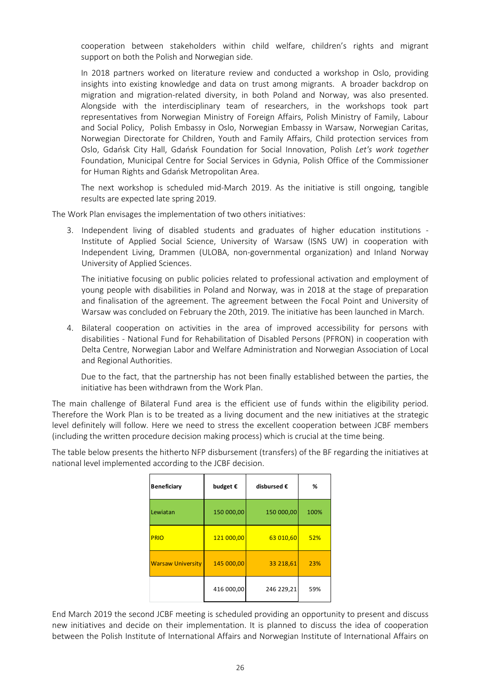cooperation between stakeholders within child welfare, children's rights and migrant support on both the Polish and Norwegian side.

In 2018 partners worked on literature review and conducted a workshop in Oslo, providing insights into existing knowledge and data on trust among migrants. A broader backdrop on migration and migration-related diversity, in both Poland and Norway, was also presented. Alongside with the interdisciplinary team of researchers, in the workshops took part representatives from Norwegian Ministry of Foreign Affairs, Polish Ministry of Family, Labour and Social Policy, Polish Embassy in Oslo, Norwegian Embassy in Warsaw, Norwegian Caritas, Norwegian Directorate for Children, Youth and Family Affairs, Child protection services from Oslo, Gdańsk City Hall, Gdańsk Foundation for Social Innovation, Polish *Let's work together* Foundation, Municipal Centre for Social Services in Gdynia, Polish Office of the Commissioner for Human Rights and Gdańsk Metropolitan Area.

The next workshop is scheduled mid-March 2019. As the initiative is still ongoing, tangible results are expected late spring 2019.

The Work Plan envisages the implementation of two others initiatives:

3. Independent living of disabled students and graduates of higher education institutions - Institute of Applied Social Science, University of Warsaw (ISNS UW) in cooperation with Independent Living, Drammen (ULOBA, non-governmental organization) and Inland Norway University of Applied Sciences.

The initiative focusing on public policies related to professional activation and employment of young people with disabilities in Poland and Norway, was in 2018 at the stage of preparation and finalisation of the agreement. The agreement between the Focal Point and University of Warsaw was concluded on February the 20th, 2019. The initiative has been launched in March.

4. Bilateral cooperation on activities in the area of improved accessibility for persons with disabilities - National Fund for Rehabilitation of Disabled Persons (PFRON) in cooperation with Delta Centre, Norwegian Labor and Welfare Administration and Norwegian Association of Local and Regional Authorities.

Due to the fact, that the partnership has not been finally established between the parties, the initiative has been withdrawn from the Work Plan.

The main challenge of Bilateral Fund area is the efficient use of funds within the eligibility period. Therefore the Work Plan is to be treated as a living document and the new initiatives at the strategic level definitely will follow. Here we need to stress the excellent cooperation between JCBF members (including the written procedure decision making process) which is crucial at the time being.

The table below presents the hitherto NFP disbursement (transfers) of the BF regarding the initiatives at national level implemented according to the JCBF decision.

| <b>Beneficiary</b>       | budget $\epsilon$ | disbursed € | %    |
|--------------------------|-------------------|-------------|------|
| Lewiatan                 | 150 000,00        | 150 000,00  | 100% |
| <b>PRIO</b>              | 121 000,00        | 63 010,60   | 52%  |
| <b>Warsaw University</b> | 145 000,00        | 33 218,61   | 23%  |
|                          | 416 000,00        | 246 229,21  | 59%  |

End March 2019 the second JCBF meeting is scheduled providing an opportunity to present and discuss new initiatives and decide on their implementation. It is planned to discuss the idea of cooperation between the Polish Institute of International Affairs and Norwegian Institute of International Affairs on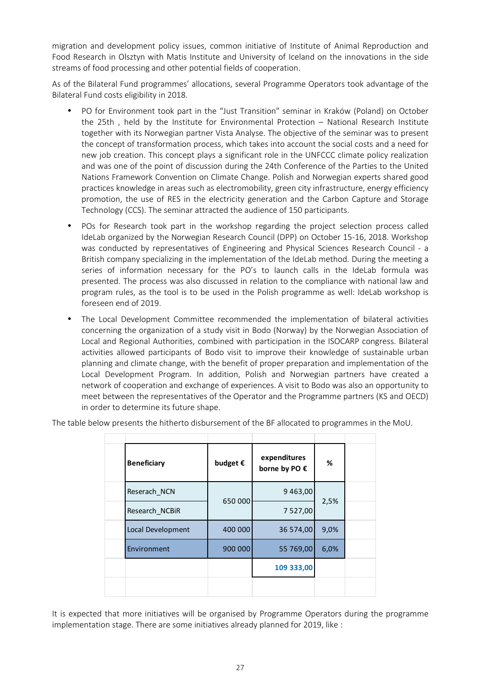migration and development policy issues, common initiative of Institute of Animal Reproduction and Food Research in Olsztyn with Matis Institute and University of Iceland on the innovations in the side streams of food processing and other potential fields of cooperation.

As of the Bilateral Fund programmes' allocations, several Programme Operators took advantage of the Bilateral Fund costs eligibility in 2018.

- PO for Environment took part in the "Just Transition" seminar in Kraków (Poland) on October the 25th , held by the Institute for Environmental Protection – National Research Institute together with its Norwegian partner Vista Analyse. The objective of the seminar was to present the concept of transformation process, which takes into account the social costs and a need for new job creation. This concept plays a significant role in the UNFCCC climate policy realization and was one of the point of discussion during the 24th Conference of the Parties to the United Nations Framework Convention on Climate Change. Polish and Norwegian experts shared good practices knowledge in areas such as electromobility, green city infrastructure, energy efficiency promotion, the use of RES in the electricity generation and the Carbon Capture and Storage Technology (CCS). The seminar attracted the audience of 150 participants.
- POs for Research took part in the workshop regarding the project selection process called IdeLab organized by the Norwegian Research Council (DPP) on October 15-16, 2018. Workshop was conducted by representatives of Engineering and Physical Sciences Research Council - a British company specializing in the implementation of the IdeLab method. During the meeting a series of information necessary for the PO's to launch calls in the IdeLab formula was presented. The process was also discussed in relation to the compliance with national law and program rules, as the tool is to be used in the Polish programme as well: IdeLab workshop is foreseen end of 2019.
- The Local Development Committee recommended the implementation of bilateral activities concerning the organization of a study visit in Bodo (Norway) by the Norwegian Association of Local and Regional Authorities, combined with participation in the ISOCARP congress. Bilateral activities allowed participants of Bodo visit to improve their knowledge of sustainable urban planning and climate change, with the benefit of proper preparation and implementation of the Local Development Program. In addition, Polish and Norwegian partners have created a network of cooperation and exchange of experiences. A visit to Bodo was also an opportunity to meet between the representatives of the Operator and the Programme partners (KS and OECD) in order to determine its future shape.

|  |  | The table below presents the hitherto disbursement of the BF allocated to programmes in the MoU. |
|--|--|--------------------------------------------------------------------------------------------------|
|  |  |                                                                                                  |
|  |  |                                                                                                  |

| <b>Beneficiary</b> | budget $\epsilon$ | expenditures<br>borne by PO € | %    |  |
|--------------------|-------------------|-------------------------------|------|--|
| Reserach NCN       | 650 000           | 9 4 6 3 , 0 0                 | 2,5% |  |
| Research NCBiR     |                   | 7 527,00                      |      |  |
| Local Development  | 400 000           | 36 574,00                     | 9,0% |  |
| Environment        | 900 000           | 55 769,00                     | 6,0% |  |
|                    |                   | 109 333,00                    |      |  |
|                    |                   |                               |      |  |

It is expected that more initiatives will be organised by Programme Operators during the programme implementation stage. There are some initiatives already planned for 2019, like :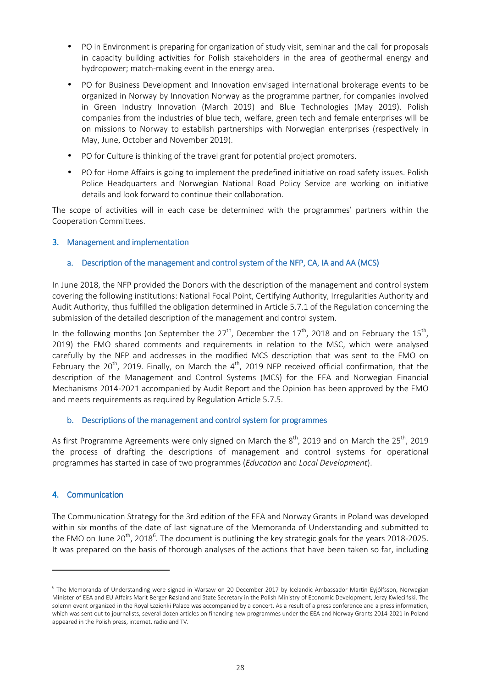- PO in Environment is preparing for organization of study visit, seminar and the call for proposals in capacity building activities for Polish stakeholders in the area of geothermal energy and hydropower; match-making event in the energy area.
- PO for Business Development and Innovation envisaged international brokerage events to be organized in Norway by Innovation Norway as the programme partner, for companies involved in Green Industry Innovation (March 2019) and Blue Technologies (May 2019). Polish companies from the industries of blue tech, welfare, green tech and female enterprises will be on missions to Norway to establish partnerships with Norwegian enterprises (respectively in May, June, October and November 2019).
- PO for Culture is thinking of the travel grant for potential project promoters.
- PO for Home Affairs is going to implement the predefined initiative on road safety issues. Polish Police Headquarters and Norwegian National Road Policy Service are working on initiative details and look forward to continue their collaboration.

The scope of activities will in each case be determined with the programmes' partners within the Cooperation Committees.

## 3. Management and implementation

## a. Description of the management and control system of the NFP, CA, IA and AA (MCS)

In June 2018, the NFP provided the Donors with the description of the management and control system covering the following institutions: National Focal Point, Certifying Authority, Irregularities Authority and Audit Authority, thus fulfilled the obligation determined in Article 5.7.1 of the Regulation concerning the submission of the detailed description of the management and control system.

In the following months (on September the 27<sup>th</sup>, December the 17<sup>th</sup>, 2018 and on February the 15<sup>th</sup>, 2019) the FMO shared comments and requirements in relation to the MSC, which were analysed carefully by the NFP and addresses in the modified MCS description that was sent to the FMO on February the 20<sup>th</sup>, 2019. Finally, on March the  $4<sup>th</sup>$ , 2019 NFP received official confirmation, that the description of the Management and Control Systems (MCS) for the EEA and Norwegian Financial Mechanisms 2014-2021 accompanied by Audit Report and the Opinion has been approved by the FMO and meets requirements as required by Regulation Article 5.7.5.

### b. Descriptions of the management and control system for programmes

As first Programme Agreements were only signed on March the  $8^{th}$ , 2019 and on March the 25<sup>th</sup>, 2019 the process of drafting the descriptions of management and control systems for operational programmes has started in case of two programmes (*Education* and *Local Development*).

### 4. Communication

The Communication Strategy for the 3rd edition of the EEA and Norway Grants in Poland was developed within six months of the date of last signature of the Memoranda of Understanding and submitted to the FMO on June 20<sup>th</sup>, 2018<sup>6</sup>. The document is outlining the key strategic goals for the years 2018-2025. It was prepared on the basis of thorough analyses of the actions that have been taken so far, including

<sup>&</sup>lt;sup>6</sup> The Memoranda of Understanding were signed in Warsaw on 20 December 2017 by Icelandic Ambassador Martin Eyjólfsson, Norwegian Minister of EEA and EU Affairs Marit Berger Røsland and State Secretary in the Polish Ministry of Economic Development, Jerzy Kwieciński. The solemn event organized in the Royal Łazienki Palace was accompanied by a concert. As a result of a press conference and a press information, which was sent out to journalists, several dozen articles on financing new programmes under the EEA and Norway Grants 2014-2021 in Poland appeared in the Polish press, internet, radio and TV.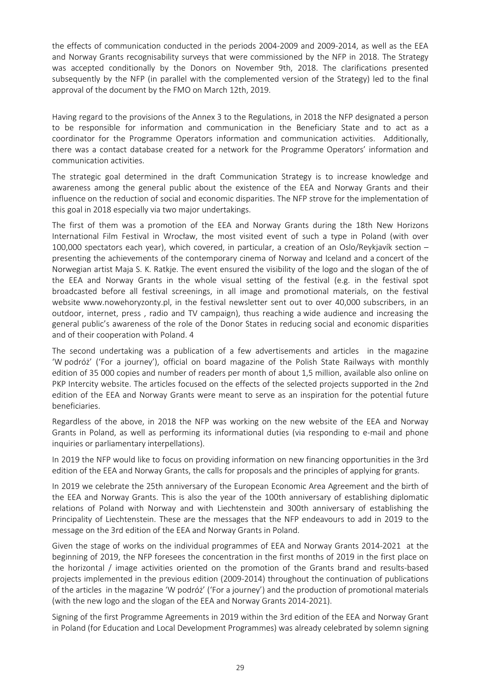the effects of communication conducted in the periods 2004-2009 and 2009-2014, as well as the EEA and Norway Grants recognisability surveys that were commissioned by the NFP in 2018. The Strategy was accepted conditionally by the Donors on November 9th, 2018. The clarifications presented subsequently by the NFP (in parallel with the complemented version of the Strategy) led to the final approval of the document by the FMO on March 12th, 2019.

Having regard to the provisions of the Annex 3 to the Regulations, in 2018 the NFP designated a person to be responsible for information and communication in the Beneficiary State and to act as a coordinator for the Programme Operators information and communication activities. Additionally, there was a contact database created for a network for the Programme Operators' information and communication activities.

The strategic goal determined in the draft Communication Strategy is to increase knowledge and awareness among the general public about the existence of the EEA and Norway Grants and their influence on the reduction of social and economic disparities. The NFP strove for the implementation of this goal in 2018 especially via two major undertakings.

The first of them was a promotion of the EEA and Norway Grants during the 18th New Horizons International Film Festival in Wrocław, the most visited event of such a type in Poland (with over 100,000 spectators each year), which covered, in particular, a creation of an Oslo/Reykjavík section – presenting the achievements of the contemporary cinema of Norway and Iceland and a concert of the Norwegian artist Maja S. K. Ratkje. The event ensured the visibility of the logo and the slogan of the of the EEA and Norway Grants in the whole visual setting of the festival (e.g. in the festival spot broadcasted before all festival screenings, in all image and promotional materials, on the festival website www.nowehoryzonty.pl, in the festival newsletter sent out to over 40,000 subscribers, in an outdoor, internet, press , radio and TV campaign), thus reaching a wide audience and increasing the general public's awareness of the role of the Donor States in reducing social and economic disparities and of their cooperation with Poland. 4

The second undertaking was a publication of a few advertisements and articles in the magazine 'W podróż' ('For a journey'), official on board magazine of the Polish State Railways with monthly edition of 35 000 copies and number of readers per month of about 1,5 million, available also online on PKP Intercity website. The articles focused on the effects of the selected projects supported in the 2nd edition of the EEA and Norway Grants were meant to serve as an inspiration for the potential future beneficiaries.

Regardless of the above, in 2018 the NFP was working on the new website of the EEA and Norway Grants in Poland, as well as performing its informational duties (via responding to e-mail and phone inquiries or parliamentary interpellations).

In 2019 the NFP would like to focus on providing information on new financing opportunities in the 3rd edition of the EEA and Norway Grants, the calls for proposals and the principles of applying for grants.

In 2019 we celebrate the 25th anniversary of the European Economic Area Agreement and the birth of the EEA and Norway Grants. This is also the year of the 100th anniversary of establishing diplomatic relations of Poland with Norway and with Liechtenstein and 300th anniversary of establishing the Principality of Liechtenstein. These are the messages that the NFP endeavours to add in 2019 to the message on the 3rd edition of the EEA and Norway Grants in Poland.

Given the stage of works on the individual programmes of EEA and Norway Grants 2014-2021 at the beginning of 2019, the NFP foresees the concentration in the first months of 2019 in the first place on the horizontal / image activities oriented on the promotion of the Grants brand and results-based projects implemented in the previous edition (2009-2014) throughout the continuation of publications of the articles in the magazine 'W podróż' ('For a journey') and the production of promotional materials (with the new logo and the slogan of the EEA and Norway Grants 2014-2021).

Signing of the first Programme Agreements in 2019 within the 3rd edition of the EEA and Norway Grant in Poland (for Education and Local Development Programmes) was already celebrated by solemn signing